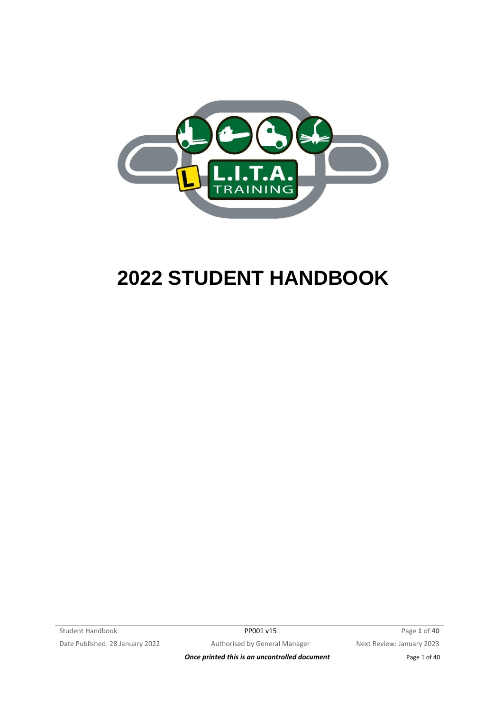

# **2022 STUDENT HANDBOOK**

Student Handbook PP001 v15 Page 1 of 40 Date Published: 28 January 2022 Authorised by General Manager Next Review: January 2023

**Once printed this is an uncontrolled document** Page 1 of 40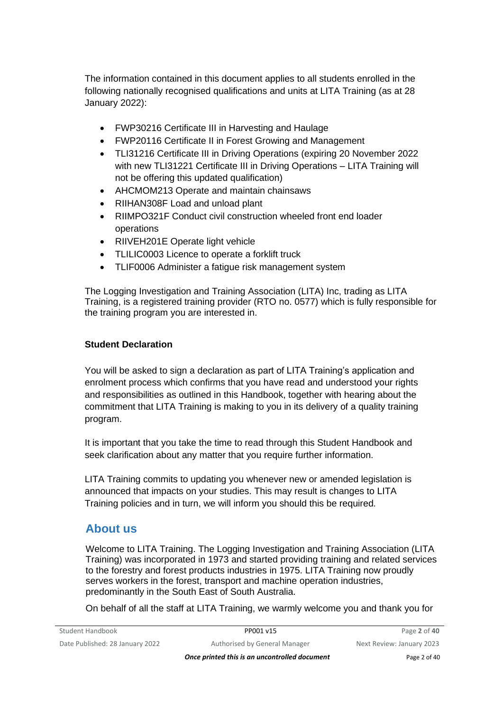The information contained in this document applies to all students enrolled in the following nationally recognised qualifications and units at LITA Training (as at 28 January 2022):

- FWP30216 Certificate III in Harvesting and Haulage
- FWP20116 Certificate II in Forest Growing and Management
- TLI31216 Certificate III in Driving Operations (expiring 20 November 2022 with new TLI31221 Certificate III in Driving Operations - LITA Training will not be offering this updated qualification)
- AHCMOM213 Operate and maintain chainsaws
- RIIHAN308F Load and unload plant
- RIIMPO321F Conduct civil construction wheeled front end loader operations
- RIIVEH201E Operate light vehicle
- TLILIC0003 Licence to operate a forklift truck
- TLIF0006 Administer a fatigue risk management system

The Logging Investigation and Training Association (LITA) Inc, trading as LITA Training, is a registered training provider (RTO no. 0577) which is fully responsible for the training program you are interested in.

#### **Student Declaration**

You will be asked to sign a declaration as part of LITA Training's application and enrolment process which confirms that you have read and understood your rights and responsibilities as outlined in this Handbook, together with hearing about the commitment that LITA Training is making to you in its delivery of a quality training program.

It is important that you take the time to read through this Student Handbook and seek clarification about any matter that you require further information.

LITA Training commits to updating you whenever new or amended legislation is announced that impacts on your studies. This may result is changes to LITA Training policies and in turn, we will inform you should this be required.

### **About us**

Welcome to LITA Training. The Logging Investigation and Training Association (LITA Training) was incorporated in 1973 and started providing training and related services to the forestry and forest products industries in 1975. LITA Training now proudly serves workers in the forest, transport and machine operation industries, predominantly in the South East of South Australia.

On behalf of all the staff at LITA Training, we warmly welcome you and thank you for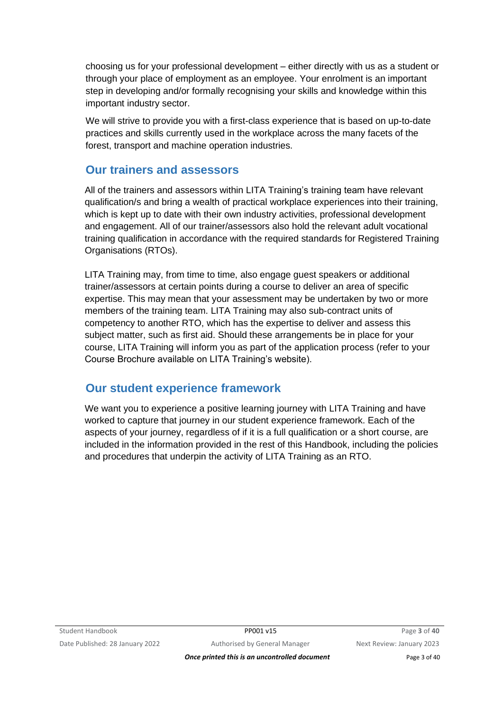choosing us for your professional development – either directly with us as a student or through your place of employment as an employee. Your enrolment is an important step in developing and/or formally recognising your skills and knowledge within this important industry sector.

We will strive to provide you with a first-class experience that is based on up-to-date practices and skills currently used in the workplace across the many facets of the forest, transport and machine operation industries.

### **Our trainers and assessors**

All of the trainers and assessors within LITA Training's training team have relevant qualification/s and bring a wealth of practical workplace experiences into their training, which is kept up to date with their own industry activities, professional development and engagement. All of our trainer/assessors also hold the relevant adult vocational training qualification in accordance with the required standards for Registered Training Organisations (RTOs).

LITA Training may, from time to time, also engage guest speakers or additional trainer/assessors at certain points during a course to deliver an area of specific expertise. This may mean that your assessment may be undertaken by two or more members of the training team. LITA Training may also sub-contract units of competency to another RTO, which has the expertise to deliver and assess this subject matter, such as first aid. Should these arrangements be in place for your course, LITA Training will inform you as part of the application process (refer to your Course Brochure available on LITA Training's website).

# **Our student experience framework**

We want you to experience a positive learning journey with LITA Training and have worked to capture that journey in our student experience framework. Each of the aspects of your journey, regardless of if it is a full qualification or a short course, are included in the information provided in the rest of this Handbook, including the policies and procedures that underpin the activity of LITA Training as an RTO.

*Once printed this is an uncontrolled document* Page 3 of 40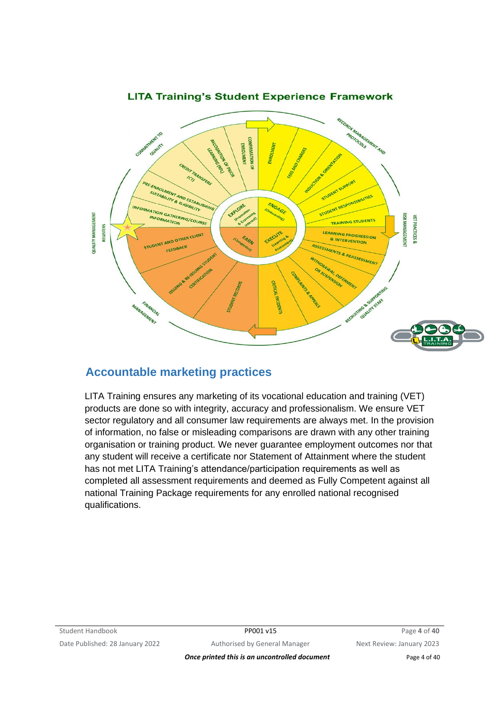

### **LITA Training's Student Experience Framework**

# **Accountable marketing practices**

LITA Training ensures any marketing of its vocational education and training (VET) products are done so with integrity, accuracy and professionalism. We ensure VET sector regulatory and all consumer law requirements are always met. In the provision of information, no false or misleading comparisons are drawn with any other training organisation or training product. We never guarantee employment outcomes nor that any student will receive a certificate nor Statement of Attainment where the student has not met LITA Training's attendance/participation requirements as well as completed all assessment requirements and deemed as Fully Competent against all national Training Package requirements for any enrolled national recognised qualifications.

**Once printed this is an uncontrolled document** Page 4 of 40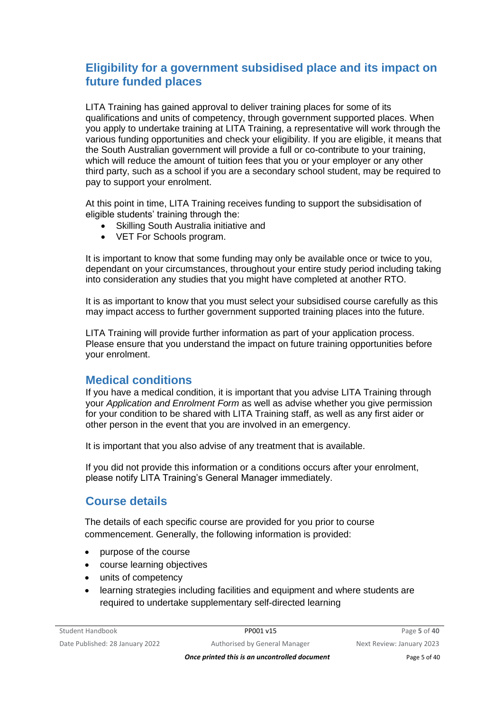### **Eligibility for a government subsidised place and its impact on future funded places**

LITA Training has gained approval to deliver training places for some of its qualifications and units of competency, through government supported places. When you apply to undertake training at LITA Training, a representative will work through the various funding opportunities and check your eligibility. If you are eligible, it means that the South Australian government will provide a full or co-contribute to your training, which will reduce the amount of tuition fees that you or your employer or any other third party, such as a school if you are a secondary school student, may be required to pay to support your enrolment.

At this point in time, LITA Training receives funding to support the subsidisation of eligible students' training through the:

- Skilling South Australia initiative and
- VET For Schools program.

It is important to know that some funding may only be available once or twice to you, dependant on your circumstances, throughout your entire study period including taking into consideration any studies that you might have completed at another RTO.

It is as important to know that you must select your subsidised course carefully as this may impact access to further government supported training places into the future.

LITA Training will provide further information as part of your application process. Please ensure that you understand the impact on future training opportunities before your enrolment.

### **Medical conditions**

If you have a medical condition, it is important that you advise LITA Training through your *Application and Enrolment Form* as well as advise whether you give permission for your condition to be shared with LITA Training staff, as well as any first aider or other person in the event that you are involved in an emergency.

It is important that you also advise of any treatment that is available.

If you did not provide this information or a conditions occurs after your enrolment, please notify LITA Training's General Manager immediately.

# **Course details**

The details of each specific course are provided for you prior to course commencement. Generally, the following information is provided:

- purpose of the course
- course learning objectives
- units of competency
- learning strategies including facilities and equipment and where students are required to undertake supplementary self-directed learning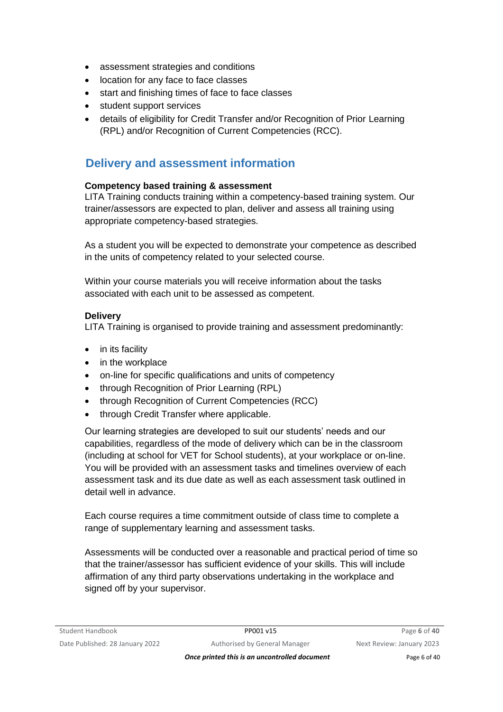- assessment strategies and conditions
- location for any face to face classes
- start and finishing times of face to face classes
- student support services
- details of eligibility for Credit Transfer and/or Recognition of Prior Learning (RPL) and/or Recognition of Current Competencies (RCC).

### **Delivery and assessment information**

#### **Competency based training & assessment**

LITA Training conducts training within a competency-based training system. Our trainer/assessors are expected to plan, deliver and assess all training using appropriate competency-based strategies.

As a student you will be expected to demonstrate your competence as described in the units of competency related to your selected course.

Within your course materials you will receive information about the tasks associated with each unit to be assessed as competent.

#### **Delivery**

LITA Training is organised to provide training and assessment predominantly:

- in its facility
- in the workplace
- on-line for specific qualifications and units of competency
- through Recognition of Prior Learning (RPL)
- through Recognition of Current Competencies (RCC)
- through Credit Transfer where applicable.

Our learning strategies are developed to suit our students' needs and our capabilities, regardless of the mode of delivery which can be in the classroom (including at school for VET for School students), at your workplace or on-line. You will be provided with an assessment tasks and timelines overview of each assessment task and its due date as well as each assessment task outlined in detail well in advance.

Each course requires a time commitment outside of class time to complete a range of supplementary learning and assessment tasks.

Assessments will be conducted over a reasonable and practical period of time so that the trainer/assessor has sufficient evidence of your skills. This will include affirmation of any third party observations undertaking in the workplace and signed off by your supervisor.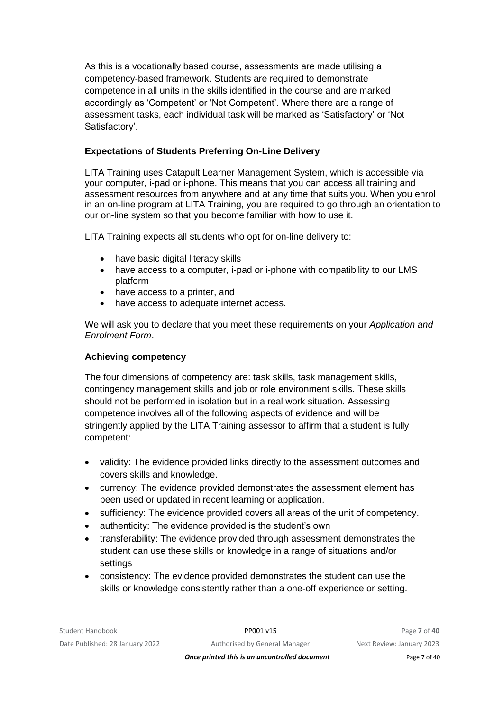As this is a vocationally based course, assessments are made utilising a competency-based framework. Students are required to demonstrate competence in all units in the skills identified in the course and are marked accordingly as 'Competent' or 'Not Competent'. Where there are a range of assessment tasks, each individual task will be marked as 'Satisfactory' or 'Not Satisfactory'.

### **Expectations of Students Preferring On-Line Delivery**

LITA Training uses Catapult Learner Management System, which is accessible via your computer, i-pad or i-phone. This means that you can access all training and assessment resources from anywhere and at any time that suits you. When you enrol in an on-line program at LITA Training, you are required to go through an orientation to our on-line system so that you become familiar with how to use it.

LITA Training expects all students who opt for on-line delivery to:

- have basic digital literacy skills
- have access to a computer, i-pad or i-phone with compatibility to our LMS platform
- have access to a printer, and
- have access to adequate internet access.

We will ask you to declare that you meet these requirements on your *Application and Enrolment Form*.

#### **Achieving competency**

The four dimensions of competency are: task skills, task management skills, contingency management skills and job or role environment skills. These skills should not be performed in isolation but in a real work situation. Assessing competence involves all of the following aspects of evidence and will be stringently applied by the LITA Training assessor to affirm that a student is fully competent:

- validity: The evidence provided links directly to the assessment outcomes and covers skills and knowledge.
- currency: The evidence provided demonstrates the assessment element has been used or updated in recent learning or application.
- sufficiency: The evidence provided covers all areas of the unit of competency.
- authenticity: The evidence provided is the student's own
- transferability: The evidence provided through assessment demonstrates the student can use these skills or knowledge in a range of situations and/or settings
- consistency: The evidence provided demonstrates the student can use the skills or knowledge consistently rather than a one-off experience or setting.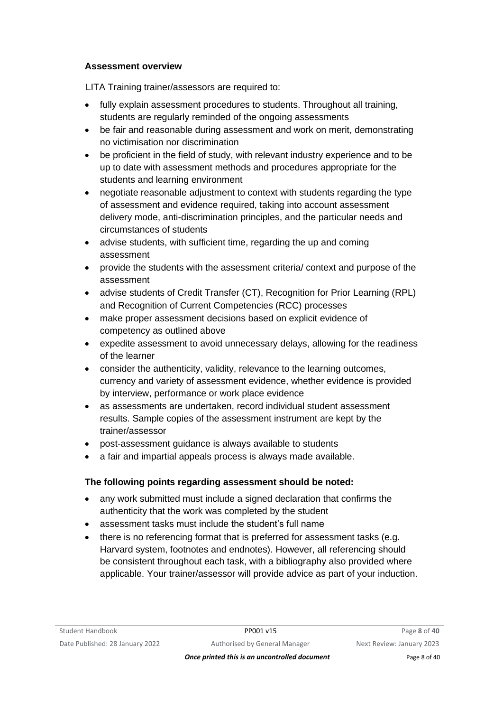#### **Assessment overview**

LITA Training trainer/assessors are required to:

- fully explain assessment procedures to students. Throughout all training, students are regularly reminded of the ongoing assessments
- be fair and reasonable during assessment and work on merit, demonstrating no victimisation nor discrimination
- be proficient in the field of study, with relevant industry experience and to be up to date with assessment methods and procedures appropriate for the students and learning environment
- negotiate reasonable adjustment to context with students regarding the type of assessment and evidence required, taking into account assessment delivery mode, anti-discrimination principles, and the particular needs and circumstances of students
- advise students, with sufficient time, regarding the up and coming assessment
- provide the students with the assessment criteria/ context and purpose of the assessment
- advise students of Credit Transfer (CT), Recognition for Prior Learning (RPL) and Recognition of Current Competencies (RCC) processes
- make proper assessment decisions based on explicit evidence of competency as outlined above
- expedite assessment to avoid unnecessary delays, allowing for the readiness of the learner
- consider the authenticity, validity, relevance to the learning outcomes, currency and variety of assessment evidence, whether evidence is provided by interview, performance or work place evidence
- as assessments are undertaken, record individual student assessment results. Sample copies of the assessment instrument are kept by the trainer/assessor
- post-assessment guidance is always available to students
- a fair and impartial appeals process is always made available.

### **The following points regarding assessment should be noted:**

- any work submitted must include a signed declaration that confirms the authenticity that the work was completed by the student
- assessment tasks must include the student's full name
- there is no referencing format that is preferred for assessment tasks (e.g. Harvard system, footnotes and endnotes). However, all referencing should be consistent throughout each task, with a bibliography also provided where applicable. Your trainer/assessor will provide advice as part of your induction.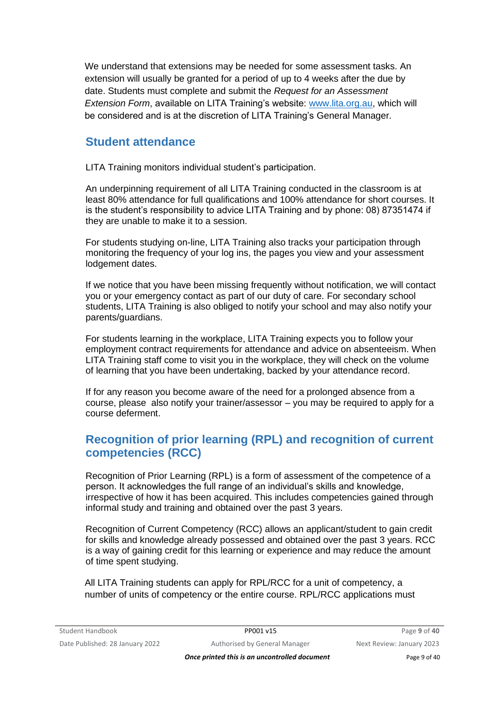We understand that extensions may be needed for some assessment tasks. An extension will usually be granted for a period of up to 4 weeks after the due by date. Students must complete and submit the *Request for an Assessment Extension Form*, available on LITA Training's website: [www.lita.org.au,](http://www.lita.org.au/) which will be considered and is at the discretion of LITA Training's General Manager.

### **Student attendance**

LITA Training monitors individual student's participation.

An underpinning requirement of all LITA Training conducted in the classroom is at least 80% attendance for full qualifications and 100% attendance for short courses. It is the student's responsibility to advice LITA Training and by phone: 08) 87351474 if they are unable to make it to a session.

For students studying on-line, LITA Training also tracks your participation through monitoring the frequency of your log ins, the pages you view and your assessment lodgement dates.

If we notice that you have been missing frequently without notification, we will contact you or your emergency contact as part of our duty of care. For secondary school students, LITA Training is also obliged to notify your school and may also notify your parents/guardians.

For students learning in the workplace, LITA Training expects you to follow your employment contract requirements for attendance and advice on absenteeism. When LITA Training staff come to visit you in the workplace, they will check on the volume of learning that you have been undertaking, backed by your attendance record.

If for any reason you become aware of the need for a prolonged absence from a course, please also notify your trainer/assessor – you may be required to apply for a course deferment.

# **Recognition of prior learning (RPL) and recognition of current competencies (RCC)**

Recognition of Prior Learning (RPL) is a form of assessment of the competence of a person. It acknowledges the full range of an individual's skills and knowledge, irrespective of how it has been acquired. This includes competencies gained through informal study and training and obtained over the past 3 years.

Recognition of Current Competency (RCC) allows an applicant/student to gain credit for skills and knowledge already possessed and obtained over the past 3 years. RCC is a way of gaining credit for this learning or experience and may reduce the amount of time spent studying.

All LITA Training students can apply for RPL/RCC for a unit of competency, a number of units of competency or the entire course. RPL/RCC applications must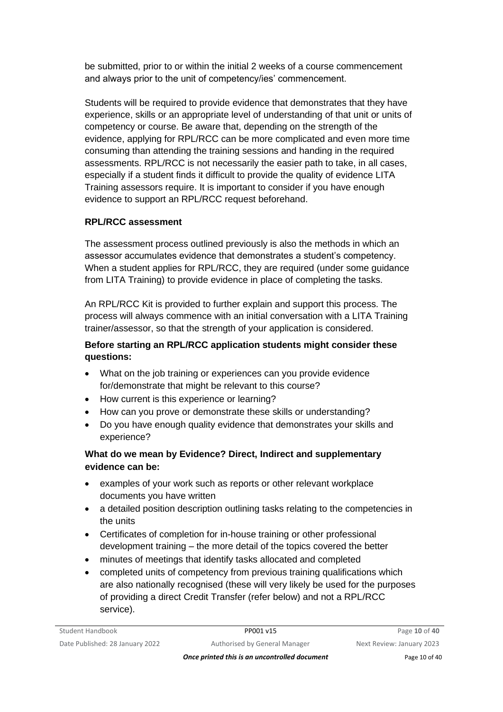be submitted, prior to or within the initial 2 weeks of a course commencement and always prior to the unit of competency/ies' commencement.

Students will be required to provide evidence that demonstrates that they have experience, skills or an appropriate level of understanding of that unit or units of competency or course. Be aware that, depending on the strength of the evidence, applying for RPL/RCC can be more complicated and even more time consuming than attending the training sessions and handing in the required assessments. RPL/RCC is not necessarily the easier path to take, in all cases, especially if a student finds it difficult to provide the quality of evidence LITA Training assessors require. It is important to consider if you have enough evidence to support an RPL/RCC request beforehand.

### **RPL/RCC assessment**

The assessment process outlined previously is also the methods in which an assessor accumulates evidence that demonstrates a student's competency. When a student applies for RPL/RCC, they are required (under some guidance from LITA Training) to provide evidence in place of completing the tasks.

An RPL/RCC Kit is provided to further explain and support this process. The process will always commence with an initial conversation with a LITA Training trainer/assessor, so that the strength of your application is considered.

### **Before starting an RPL/RCC application students might consider these questions:**

- What on the job training or experiences can you provide evidence for/demonstrate that might be relevant to this course?
- How current is this experience or learning?
- How can you prove or demonstrate these skills or understanding?
- Do you have enough quality evidence that demonstrates your skills and experience?

### **What do we mean by Evidence? Direct, Indirect and supplementary evidence can be:**

- examples of your work such as reports or other relevant workplace documents you have written
- a detailed position description outlining tasks relating to the competencies in the units
- Certificates of completion for in-house training or other professional development training – the more detail of the topics covered the better
- minutes of meetings that identify tasks allocated and completed
- completed units of competency from previous training qualifications which are also nationally recognised (these will very likely be used for the purposes of providing a direct Credit Transfer (refer below) and not a RPL/RCC service).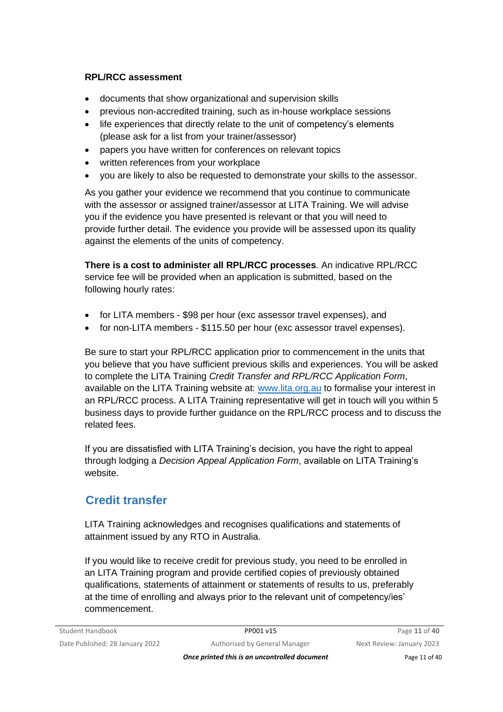### **RPL/RCC assessment**

- documents that show organizational and supervision skills
- previous non-accredited training, such as in-house workplace sessions
- life experiences that directly relate to the unit of competency's elements (please ask for a list from your trainer/assessor)
- papers you have written for conferences on relevant topics
- written references from your workplace
- you are likely to also be requested to demonstrate your skills to the assessor.

As you gather your evidence we recommend that you continue to communicate with the assessor or assigned trainer/assessor at LITA Training. We will advise you if the evidence you have presented is relevant or that you will need to provide further detail. The evidence you provide will be assessed upon its quality against the elements of the units of competency.

**There is a cost to administer all RPL/RCC processes**. An indicative RPL/RCC service fee will be provided when an application is submitted, based on the following hourly rates:

- for LITA members \$98 per hour (exc assessor travel expenses), and
- for non-LITA members \$115.50 per hour (exc assessor travel expenses).

Be sure to start your RPL/RCC application prior to commencement in the units that you believe that you have sufficient previous skills and experiences. You will be asked to complete the LITA Training *Credit Transfer and RPL/RCC Application Form*, available on the LITA Training website at: [www.lita.org.au](http://www.lita.org.au/) to formalise your interest in an RPL/RCC process. A LITA Training representative will get in touch will you within 5 business days to provide further guidance on the RPL/RCC process and to discuss the related fees.

If you are dissatisfied with LITA Training's decision, you have the right to appeal through lodging a *Decision Appeal Application Form*, available on LITA Training's website.

# **Credit transfer**

LITA Training acknowledges and recognises qualifications and statements of attainment issued by any RTO in Australia.

If you would like to receive credit for previous study, you need to be enrolled in an LITA Training program and provide certified copies of previously obtained qualifications, statements of attainment or statements of results to us, preferably at the time of enrolling and always prior to the relevant unit of competency/ies' commencement.

**Once printed this is an uncontrolled document** Page 11 of 40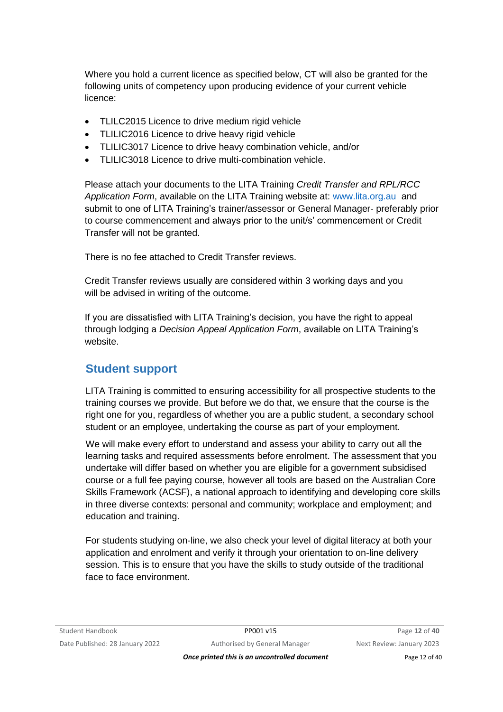Where you hold a current licence as specified below, CT will also be granted for the following units of competency upon producing evidence of your current vehicle licence:

- TLILC2015 Licence to drive medium rigid vehicle
- TLILIC2016 Licence to drive heavy rigid vehicle
- TLILIC3017 Licence to drive heavy combination vehicle, and/or
- TLILIC3018 Licence to drive multi-combination vehicle.

Please attach your documents to the LITA Training *Credit Transfer and RPL/RCC Application Form*, available on the LITA Training website at: [www.lita.org.au](http://www.lita.org.au/) and submit to one of LITA Training's trainer/assessor or General Manager- preferably prior to course commencement and always prior to the unit/s' commencement or Credit Transfer will not be granted.

There is no fee attached to Credit Transfer reviews.

Credit Transfer reviews usually are considered within 3 working days and you will be advised in writing of the outcome.

If you are dissatisfied with LITA Training's decision, you have the right to appeal through lodging a *Decision Appeal Application Form*, available on LITA Training's website.

### **Student support**

LITA Training is committed to ensuring accessibility for all prospective students to the training courses we provide. But before we do that, we ensure that the course is the right one for you, regardless of whether you are a public student, a secondary school student or an employee, undertaking the course as part of your employment.

We will make every effort to understand and assess your ability to carry out all the learning tasks and required assessments before enrolment. The assessment that you undertake will differ based on whether you are eligible for a government subsidised course or a full fee paying course, however all tools are based on the Australian Core Skills Framework (ACSF), a national approach to identifying and developing core skills in three diverse contexts: personal and community; workplace and employment; and education and training.

For students studying on-line, we also check your level of digital literacy at both your application and enrolment and verify it through your orientation to on-line delivery session. This is to ensure that you have the skills to study outside of the traditional face to face environment.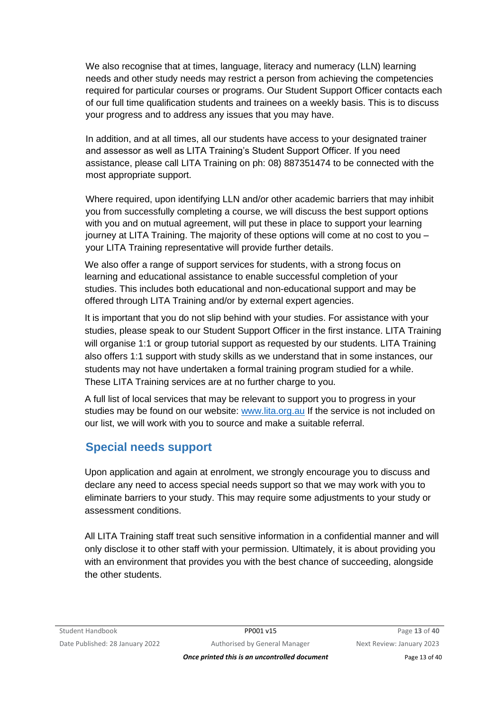We also recognise that at times, language, literacy and numeracy (LLN) learning needs and other study needs may restrict a person from achieving the competencies required for particular courses or programs. Our Student Support Officer contacts each of our full time qualification students and trainees on a weekly basis. This is to discuss your progress and to address any issues that you may have.

In addition, and at all times, all our students have access to your designated trainer and assessor as well as LITA Training's Student Support Officer. If you need assistance, please call LITA Training on ph: 08) 887351474 to be connected with the most appropriate support.

Where required, upon identifying LLN and/or other academic barriers that may inhibit you from successfully completing a course, we will discuss the best support options with you and on mutual agreement, will put these in place to support your learning journey at LITA Training. The majority of these options will come at no cost to you – your LITA Training representative will provide further details.

We also offer a range of support services for students, with a strong focus on learning and educational assistance to enable successful completion of your studies. This includes both educational and non-educational support and may be offered through LITA Training and/or by external expert agencies.

It is important that you do not slip behind with your studies. For assistance with your studies, please speak to our Student Support Officer in the first instance. LITA Training will organise 1:1 or group tutorial support as requested by our students. LITA Training also offers 1:1 support with study skills as we understand that in some instances, our students may not have undertaken a formal training program studied for a while. These LITA Training services are at no further charge to you.

A full list of local services that may be relevant to support you to progress in your studies may be found on our website: [www.lita.org.au](http://www.lita.org.au/) If the service is not included on our list, we will work with you to source and make a suitable referral.

# **Special needs support**

Upon application and again at enrolment, we strongly encourage you to discuss and declare any need to access special needs support so that we may work with you to eliminate barriers to your study. This may require some adjustments to your study or assessment conditions.

All LITA Training staff treat such sensitive information in a confidential manner and will only disclose it to other staff with your permission. Ultimately, it is about providing you with an environment that provides you with the best chance of succeeding, alongside the other students.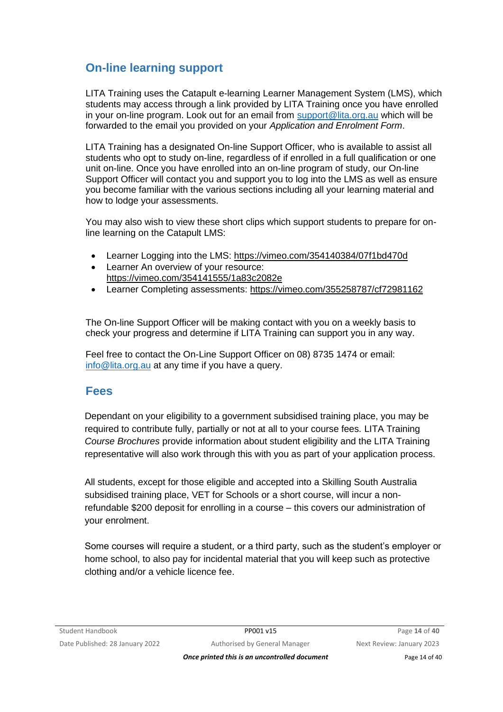# **On-line learning support**

LITA Training uses the Catapult e-learning Learner Management System (LMS), which students may access through a link provided by LITA Training once you have enrolled in your on-line program. Look out for an email from [support@lita.org.au](mailto:info@lita.org.au) which will be forwarded to the email you provided on your *Application and Enrolment Form*.

LITA Training has a designated On-line Support Officer, who is available to assist all students who opt to study on-line, regardless of if enrolled in a full qualification or one unit on-line. Once you have enrolled into an on-line program of study, our On-line Support Officer will contact you and support you to log into the LMS as well as ensure you become familiar with the various sections including all your learning material and how to lodge your assessments.

You may also wish to view these short clips which support students to prepare for online learning on the Catapult LMS:

- Learner Logging into the LMS:<https://vimeo.com/354140384/07f1bd470d>
- Learner An overview of your resource: <https://vimeo.com/354141555/1a83c2082e>
- Learner Completing assessments:<https://vimeo.com/355258787/cf72981162>

The On-line Support Officer will be making contact with you on a weekly basis to check your progress and determine if LITA Training can support you in any way.

Feel free to contact the On-Line Support Officer on 08) 8735 1474 or email: [info@lita.org.au](mailto:info@lita.org.au) at any time if you have a query.

### **Fees**

Dependant on your eligibility to a government subsidised training place, you may be required to contribute fully, partially or not at all to your course fees. LITA Training *Course Brochures* provide information about student eligibility and the LITA Training representative will also work through this with you as part of your application process.

All students, except for those eligible and accepted into a Skilling South Australia subsidised training place, VET for Schools or a short course, will incur a nonrefundable \$200 deposit for enrolling in a course – this covers our administration of your enrolment.

Some courses will require a student, or a third party, such as the student's employer or home school, to also pay for incidental material that you will keep such as protective clothing and/or a vehicle licence fee.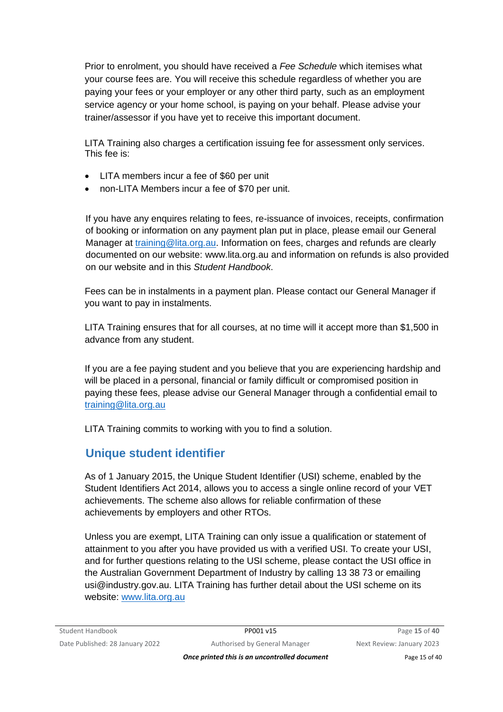Prior to enrolment, you should have received a *Fee Schedule* which itemises what your course fees are. You will receive this schedule regardless of whether you are paying your fees or your employer or any other third party, such as an employment service agency or your home school, is paying on your behalf. Please advise your trainer/assessor if you have yet to receive this important document.

LITA Training also charges a certification issuing fee for assessment only services. This fee is:

- LITA members incur a fee of \$60 per unit
- non-LITA Members incur a fee of \$70 per unit.

If you have any enquires relating to fees, re-issuance of invoices, receipts, confirmation of booking or information on any payment plan put in place, please email our General Manager at training@lita.org.au. Information on fees, charges and refunds are clearly documented on our website: [www.lita.org.au](http://www.lita.org.au/) and information on refunds is also provided on our website and in this *Student Handbook*.

Fees can be in instalments in a payment plan. Please contact our General Manager if you want to pay in instalments.

LITA Training ensures that for all courses, at no time will it accept more than \$1,500 in advance from any student.

If you are a fee paying student and you believe that you are experiencing hardship and will be placed in a personal, financial or family difficult or compromised position in paying these fees, please advise our General Manager through a confidential email to [training@lita.org.au](mailto:training@lita.org.au)

LITA Training commits to working with you to find a solution.

# **Unique student identifier**

As of 1 January 2015, the Unique Student Identifier (USI) scheme, enabled by the Student Identifiers Act 2014, allows you to access a single online record of your VET achievements. The scheme also allows for reliable confirmation of these achievements by employers and other RTOs.

Unless you are exempt, LITA Training can only issue a qualification or statement of attainment to you after you have provided us with a verified USI. To create your USI, and for further questions relating to the USI scheme, please contact the USI office in the Australian Government Department of Industry by calling 13 38 73 or emailing usi@industry.gov.au. LITA Training has further detail about the USI scheme on its website: [www.lita.org.au](http://www.lita.org.au/)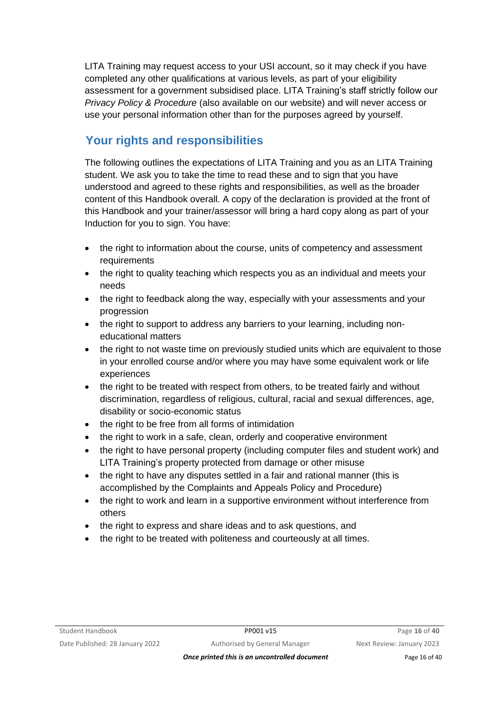LITA Training may request access to your USI account, so it may check if you have completed any other qualifications at various levels, as part of your eligibility assessment for a government subsidised place. LITA Training's staff strictly follow our *Privacy Policy & Procedure* (also available on our website) and will never access or use your personal information other than for the purposes agreed by yourself.

# **Your rights and responsibilities**

The following outlines the expectations of LITA Training and you as an LITA Training student. We ask you to take the time to read these and to sign that you have understood and agreed to these rights and responsibilities, as well as the broader content of this Handbook overall. A copy of the declaration is provided at the front of this Handbook and your trainer/assessor will bring a hard copy along as part of your Induction for you to sign. You have:

- the right to information about the course, units of competency and assessment requirements
- the right to quality teaching which respects you as an individual and meets your needs
- the right to feedback along the way, especially with your assessments and your progression
- the right to support to address any barriers to your learning, including noneducational matters
- the right to not waste time on previously studied units which are equivalent to those in your enrolled course and/or where you may have some equivalent work or life experiences
- the right to be treated with respect from others, to be treated fairly and without discrimination, regardless of religious, cultural, racial and sexual differences, age, disability or socio-economic status
- the right to be free from all forms of intimidation
- the right to work in a safe, clean, orderly and cooperative environment
- the right to have personal property (including computer files and student work) and LITA Training's property protected from damage or other misuse
- the right to have any disputes settled in a fair and rational manner (this is accomplished by the Complaints and Appeals Policy and Procedure)
- the right to work and learn in a supportive environment without interference from others
- the right to express and share ideas and to ask questions, and
- the right to be treated with politeness and courteously at all times.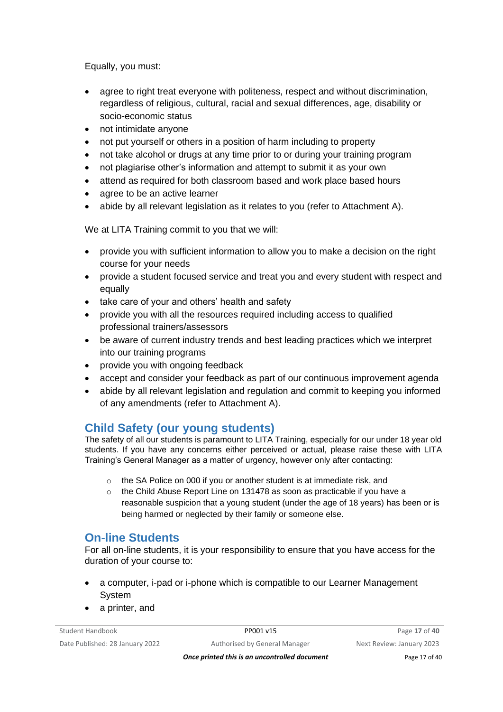Equally, you must:

- agree to right treat everyone with politeness, respect and without discrimination, regardless of religious, cultural, racial and sexual differences, age, disability or socio-economic status
- not intimidate anyone
- not put yourself or others in a position of harm including to property
- not take alcohol or drugs at any time prior to or during your training program
- not plagiarise other's information and attempt to submit it as your own
- attend as required for both classroom based and work place based hours
- agree to be an active learner
- abide by all relevant legislation as it relates to you (refer to Attachment A).

We at LITA Training commit to you that we will:

- provide you with sufficient information to allow you to make a decision on the right course for your needs
- provide a student focused service and treat you and every student with respect and equally
- take care of your and others' health and safety
- provide you with all the resources required including access to qualified professional trainers/assessors
- be aware of current industry trends and best leading practices which we interpret into our training programs
- provide you with ongoing feedback
- accept and consider your feedback as part of our continuous improvement agenda
- abide by all relevant legislation and regulation and commit to keeping you informed of any amendments (refer to Attachment A).

# **Child Safety (our young students)**

The safety of all our students is paramount to LITA Training, especially for our under 18 year old students. If you have any concerns either perceived or actual, please raise these with LITA Training's General Manager as a matter of urgency, however only after contacting:

- o the SA Police on 000 if you or another student is at immediate risk, and
- $\circ$  the Child Abuse Report Line on 131478 as soon as practicable if you have a reasonable suspicion that a young student (under the age of 18 years) has been or is being harmed or neglected by their family or someone else.

# **On-line Students**

For all on-line students, it is your responsibility to ensure that you have access for the duration of your course to:

- a computer, i-pad or i-phone which is compatible to our Learner Management System
- a printer, and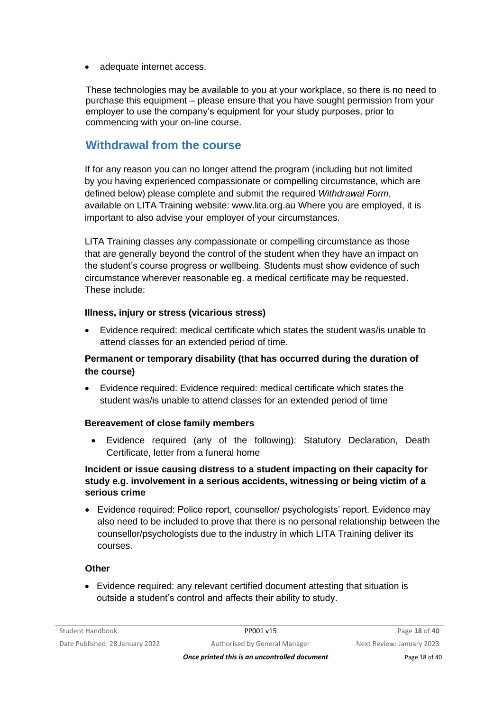adequate internet access.

These technologies may be available to you at your workplace, so there is no need to purchase this equipment – please ensure that you have sought permission from your employer to use the company's equipment for your study purposes, prior to commencing with your on-line course.

# **Withdrawal from the course**

If for any reason you can no longer attend the program (including but not limited by you having experienced compassionate or compelling circumstance, which are defined below) please complete and submit the required *Withdrawal Form*, available on LITA Training website: [www.lita.org.au](http://www.lita.org.au/) Where you are employed, it is important to also advise your employer of your circumstances.

LITA Training classes any compassionate or compelling circumstance as those that are generally beyond the control of the student when they have an impact on the student's course progress or wellbeing. Students must show evidence of such circumstance wherever reasonable eg. a medical certificate may be requested. These include:

#### **Illness, injury or stress (vicarious stress)**

• Evidence required: medical certificate which states the student was/is unable to attend classes for an extended period of time.

### **Permanent or temporary disability (that has occurred during the duration of the course)**

• Evidence required: Evidence required: medical certificate which states the student was/is unable to attend classes for an extended period of time

#### **Bereavement of close family members**

• Evidence required (any of the following): Statutory Declaration, Death Certificate, letter from a funeral home

### **Incident or issue causing distress to a student impacting on their capacity for study e.g. involvement in a serious accidents, witnessing or being victim of a serious crime**

• Evidence required: Police report, counsellor/ psychologists' report. Evidence may also need to be included to prove that there is no personal relationship between the counsellor/psychologists due to the industry in which LITA Training deliver its courses.

#### **Other**

• Evidence required: any relevant certified document attesting that situation is outside a student's control and affects their ability to study.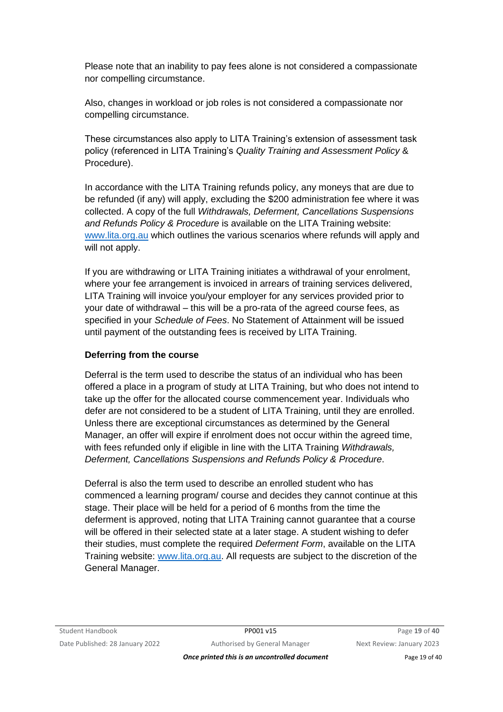Please note that an inability to pay fees alone is not considered a compassionate nor compelling circumstance.

Also, changes in workload or job roles is not considered a compassionate nor compelling circumstance.

These circumstances also apply to LITA Training's extension of assessment task policy (referenced in LITA Training's *Quality Training and Assessment Policy* & Procedure).

In accordance with the LITA Training refunds policy, any moneys that are due to be refunded (if any) will apply, excluding the \$200 administration fee where it was collected. A copy of the full *Withdrawals, Deferment, Cancellations Suspensions and Refunds Policy & Procedure* is available on the LITA Training website: [www.lita.org.au](http://www.lita.org.au/) which outlines the various scenarios where refunds will apply and will not apply.

If you are withdrawing or LITA Training initiates a withdrawal of your enrolment, where your fee arrangement is invoiced in arrears of training services delivered, LITA Training will invoice you/your employer for any services provided prior to your date of withdrawal – this will be a pro-rata of the agreed course fees, as specified in your *Schedule of Fees*. No Statement of Attainment will be issued until payment of the outstanding fees is received by LITA Training.

#### **Deferring from the course**

Deferral is the term used to describe the status of an individual who has been offered a place in a program of study at LITA Training, but who does not intend to take up the offer for the allocated course commencement year. Individuals who defer are not considered to be a student of LITA Training, until they are enrolled. Unless there are exceptional circumstances as determined by the General Manager, an offer will expire if enrolment does not occur within the agreed time, with fees refunded only if eligible in line with the LITA Training *Withdrawals, Deferment, Cancellations Suspensions and Refunds Policy & Procedure*.

Deferral is also the term used to describe an enrolled student who has commenced a learning program/ course and decides they cannot continue at this stage. Their place will be held for a period of 6 months from the time the deferment is approved, noting that LITA Training cannot guarantee that a course will be offered in their selected state at a later stage. A student wishing to defer their studies, must complete the required *Deferment Form*, available on the LITA Training website: [www.lita.org.au.](http://www.lita.org.au/) All requests are subject to the discretion of the General Manager.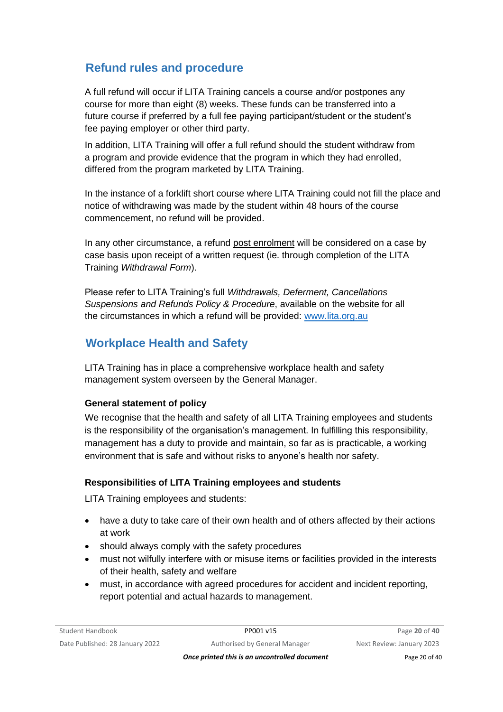# **Refund rules and procedure**

A full refund will occur if LITA Training cancels a course and/or postpones any course for more than eight (8) weeks. These funds can be transferred into a future course if preferred by a full fee paying participant/student or the student's fee paying employer or other third party.

In addition, LITA Training will offer a full refund should the student withdraw from a program and provide evidence that the program in which they had enrolled, differed from the program marketed by LITA Training.

In the instance of a forklift short course where LITA Training could not fill the place and notice of withdrawing was made by the student within 48 hours of the course commencement, no refund will be provided.

In any other circumstance, a refund post enrolment will be considered on a case by case basis upon receipt of a written request (ie. through completion of the LITA Training *Withdrawal Form*).

Please refer to LITA Training's full *Withdrawals, Deferment, Cancellations Suspensions and Refunds Policy & Procedure*, available on the website for all the circumstances in which a refund will be provided: [www.lita.org.au](http://www.lita.org.au/)

# **Workplace Health and Safety**

LITA Training has in place a comprehensive workplace health and safety management system overseen by the General Manager.

### **General statement of policy**

We recognise that the health and safety of all LITA Training employees and students is the responsibility of the organisation's management. In fulfilling this responsibility, management has a duty to provide and maintain, so far as is practicable, a working environment that is safe and without risks to anyone's health nor safety.

### **Responsibilities of LITA Training employees and students**

LITA Training employees and students:

- have a duty to take care of their own health and of others affected by their actions at work
- should always comply with the safety procedures
- must not wilfully interfere with or misuse items or facilities provided in the interests of their health, safety and welfare
- must, in accordance with agreed procedures for accident and incident reporting, report potential and actual hazards to management.

*Once printed this is an uncontrolled document* Page 20 of 40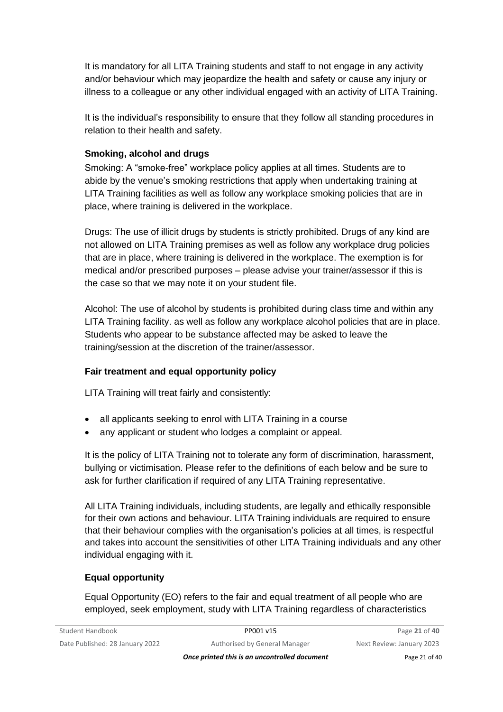It is mandatory for all LITA Training students and staff to not engage in any activity and/or behaviour which may jeopardize the health and safety or cause any injury or illness to a colleague or any other individual engaged with an activity of LITA Training.

It is the individual's responsibility to ensure that they follow all standing procedures in relation to their health and safety.

### **Smoking, alcohol and drugs**

Smoking: A "smoke-free" workplace policy applies at all times. Students are to abide by the venue's smoking restrictions that apply when undertaking training at LITA Training facilities as well as follow any workplace smoking policies that are in place, where training is delivered in the workplace.

Drugs: The use of illicit drugs by students is strictly prohibited. Drugs of any kind are not allowed on LITA Training premises as well as follow any workplace drug policies that are in place, where training is delivered in the workplace. The exemption is for medical and/or prescribed purposes – please advise your trainer/assessor if this is the case so that we may note it on your student file.

Alcohol: The use of alcohol by students is prohibited during class time and within any LITA Training facility. as well as follow any workplace alcohol policies that are in place. Students who appear to be substance affected may be asked to leave the training/session at the discretion of the trainer/assessor.

### **Fair treatment and equal opportunity policy**

LITA Training will treat fairly and consistently:

- all applicants seeking to enrol with LITA Training in a course
- any applicant or student who lodges a complaint or appeal.

It is the policy of LITA Training not to tolerate any form of discrimination, harassment, bullying or victimisation. Please refer to the definitions of each below and be sure to ask for further clarification if required of any LITA Training representative.

All LITA Training individuals, including students, are legally and ethically responsible for their own actions and behaviour. LITA Training individuals are required to ensure that their behaviour complies with the organisation's policies at all times, is respectful and takes into account the sensitivities of other LITA Training individuals and any other individual engaging with it.

### **Equal opportunity**

Equal Opportunity (EO) refers to the fair and equal treatment of all people who are employed, seek employment, study with LITA Training regardless of characteristics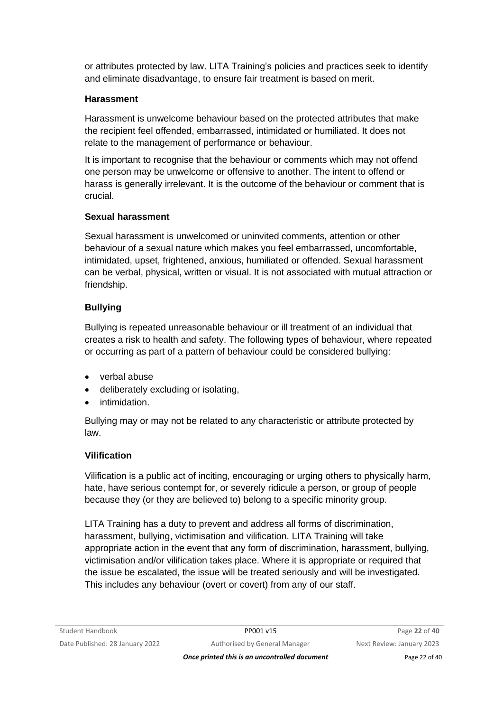or attributes protected by law. LITA Training's policies and practices seek to identify and eliminate disadvantage, to ensure fair treatment is based on merit.

### **Harassment**

Harassment is unwelcome behaviour based on the protected attributes that make the recipient feel offended, embarrassed, intimidated or humiliated. It does not relate to the management of performance or behaviour.

It is important to recognise that the behaviour or comments which may not offend one person may be unwelcome or offensive to another. The intent to offend or harass is generally irrelevant. It is the outcome of the behaviour or comment that is crucial.

#### **Sexual harassment**

Sexual harassment is unwelcomed or uninvited comments, attention or other behaviour of a sexual nature which makes you feel embarrassed, uncomfortable, intimidated, upset, frightened, anxious, humiliated or offended. Sexual harassment can be verbal, physical, written or visual. It is not associated with mutual attraction or friendship.

### **Bullying**

Bullying is repeated unreasonable behaviour or ill treatment of an individual that creates a risk to health and safety. The following types of behaviour, where repeated or occurring as part of a pattern of behaviour could be considered bullying:

- verbal abuse
- deliberately excluding or isolating,
- intimidation.

Bullying may or may not be related to any characteristic or attribute protected by law.

### **Vilification**

Vilification is a public act of inciting, encouraging or urging others to physically harm, hate, have serious contempt for, or severely ridicule a person, or group of people because they (or they are believed to) belong to a specific minority group.

LITA Training has a duty to prevent and address all forms of discrimination, harassment, bullying, victimisation and vilification. LITA Training will take appropriate action in the event that any form of discrimination, harassment, bullying, victimisation and/or vilification takes place. Where it is appropriate or required that the issue be escalated, the issue will be treated seriously and will be investigated. This includes any behaviour (overt or covert) from any of our staff.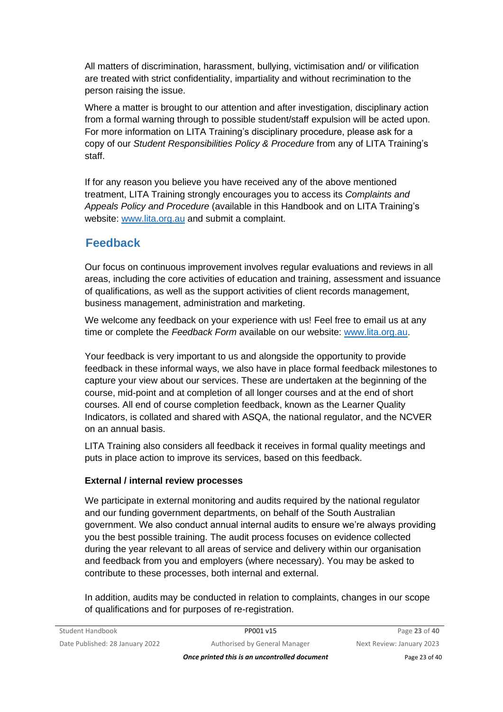All matters of discrimination, harassment, bullying, victimisation and/ or vilification are treated with strict confidentiality, impartiality and without recrimination to the person raising the issue.

Where a matter is brought to our attention and after investigation, disciplinary action from a formal warning through to possible student/staff expulsion will be acted upon. For more information on LITA Training's disciplinary procedure, please ask for a copy of our *Student Responsibilities Policy & Procedure* from any of LITA Training's staff.

If for any reason you believe you have received any of the above mentioned treatment, LITA Training strongly encourages you to access its *Complaints and Appeals Policy and Procedure* (available in this Handbook and on LITA Training's website: [www.lita.org.au](http://www.lita.org.au/) and submit a complaint.

# **Feedback**

Our focus on continuous improvement involves regular evaluations and reviews in all areas, including the core activities of education and training, assessment and issuance of qualifications, as well as the support activities of client records management, business management, administration and marketing.

We welcome any feedback on your experience with us! Feel free to email us at any time or complete the *Feedback Form* available on our website: [www.lita.org.au.](http://www.lita.org.au/)

Your feedback is very important to us and alongside the opportunity to provide feedback in these informal ways, we also have in place formal feedback milestones to capture your view about our services. These are undertaken at the beginning of the course, mid-point and at completion of all longer courses and at the end of short courses. All end of course completion feedback, known as the Learner Quality Indicators, is collated and shared with ASQA, the national regulator, and the NCVER on an annual basis.

LITA Training also considers all feedback it receives in formal quality meetings and puts in place action to improve its services, based on this feedback.

### **External / internal review processes**

We participate in external monitoring and audits required by the national regulator and our funding government departments, on behalf of the South Australian government. We also conduct annual internal audits to ensure we're always providing you the best possible training. The audit process focuses on evidence collected during the year relevant to all areas of service and delivery within our organisation and feedback from you and employers (where necessary). You may be asked to contribute to these processes, both internal and external.

In addition, audits may be conducted in relation to complaints, changes in our scope of qualifications and for purposes of re-registration.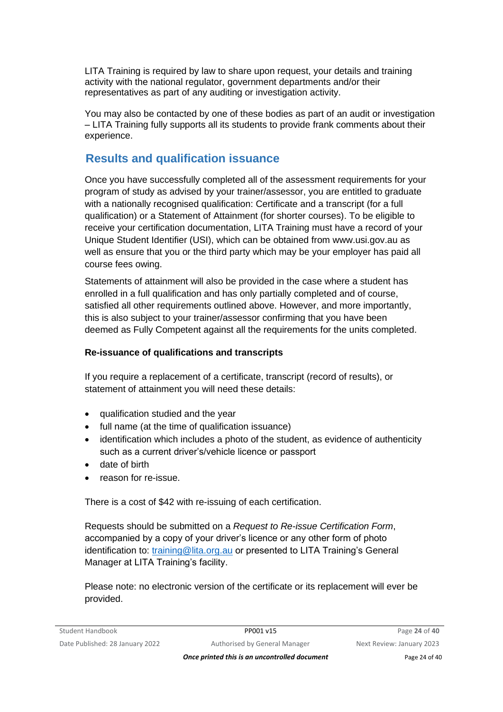LITA Training is required by law to share upon request, your details and training activity with the national regulator, government departments and/or their representatives as part of any auditing or investigation activity.

You may also be contacted by one of these bodies as part of an audit or investigation – LITA Training fully supports all its students to provide frank comments about their experience.

# **Results and qualification issuance**

Once you have successfully completed all of the assessment requirements for your program of study as advised by your trainer/assessor, you are entitled to graduate with a nationally recognised qualification: Certificate and a transcript (for a full qualification) or a Statement of Attainment (for shorter courses). To be eligible to receive your certification documentation, LITA Training must have a record of your Unique Student Identifier (USI), which can be obtained from www.usi.gov.au as well as ensure that you or the third party which may be your employer has paid all course fees owing.

Statements of attainment will also be provided in the case where a student has enrolled in a full qualification and has only partially completed and of course, satisfied all other requirements outlined above. However, and more importantly, this is also subject to your trainer/assessor confirming that you have been deemed as Fully Competent against all the requirements for the units completed.

### **Re-issuance of qualifications and transcripts**

If you require a replacement of a certificate, transcript (record of results), or statement of attainment you will need these details:

- qualification studied and the year
- full name (at the time of qualification issuance)
- identification which includes a photo of the student, as evidence of authenticity such as a current driver's/vehicle licence or passport
- date of birth
- reason for re-issue.

There is a cost of \$42 with re-issuing of each certification.

Requests should be submitted on a *Request to Re-issue Certification Form*, accompanied by a copy of your driver's licence or any other form of photo identification to: [training@lita.org.au](mailto:lita@seol.net.au) or presented to LITA Training's General Manager at LITA Training's facility.

Please note: no electronic version of the certificate or its replacement will ever be provided.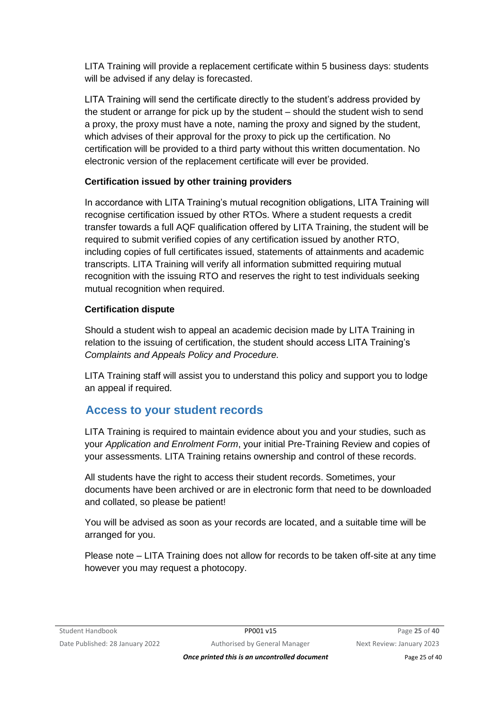LITA Training will provide a replacement certificate within 5 business days: students will be advised if any delay is forecasted.

LITA Training will send the certificate directly to the student's address provided by the student or arrange for pick up by the student – should the student wish to send a proxy, the proxy must have a note, naming the proxy and signed by the student, which advises of their approval for the proxy to pick up the certification. No certification will be provided to a third party without this written documentation. No electronic version of the replacement certificate will ever be provided.

### **Certification issued by other training providers**

In accordance with LITA Training's mutual recognition obligations, LITA Training will recognise certification issued by other RTOs. Where a student requests a credit transfer towards a full AQF qualification offered by LITA Training, the student will be required to submit verified copies of any certification issued by another RTO, including copies of full certificates issued, statements of attainments and academic transcripts. LITA Training will verify all information submitted requiring mutual recognition with the issuing RTO and reserves the right to test individuals seeking mutual recognition when required.

### **Certification dispute**

Should a student wish to appeal an academic decision made by LITA Training in relation to the issuing of certification, the student should access LITA Training's *Complaints and Appeals Policy and Procedure.*

LITA Training staff will assist you to understand this policy and support you to lodge an appeal if required.

# **Access to your student records**

LITA Training is required to maintain evidence about you and your studies, such as your *Application and Enrolment Form*, your initial Pre-Training Review and copies of your assessments. LITA Training retains ownership and control of these records.

All students have the right to access their student records. Sometimes, your documents have been archived or are in electronic form that need to be downloaded and collated, so please be patient!

You will be advised as soon as your records are located, and a suitable time will be arranged for you.

Please note – LITA Training does not allow for records to be taken off-site at any time however you may request a photocopy.

*Once printed this is an uncontrolled document* Page 25 of 40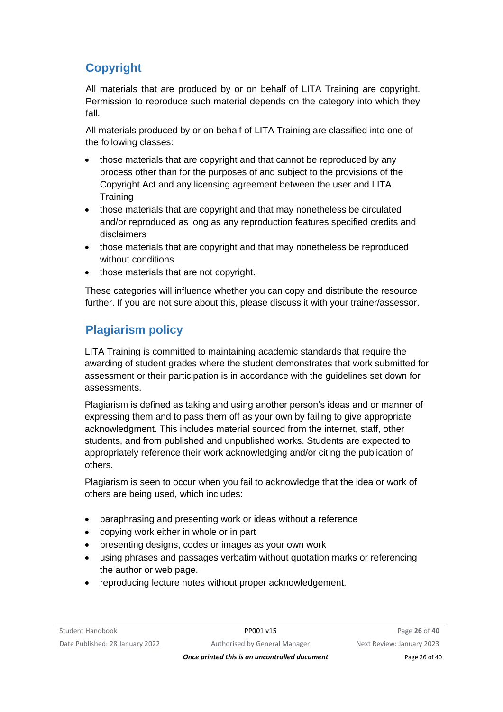# **Copyright**

All materials that are produced by or on behalf of LITA Training are copyright. Permission to reproduce such material depends on the category into which they fall.

All materials produced by or on behalf of LITA Training are classified into one of the following classes:

- those materials that are copyright and that cannot be reproduced by any process other than for the purposes of and subject to the provisions of the Copyright Act and any licensing agreement between the user and LITA **Training**
- those materials that are copyright and that may nonetheless be circulated and/or reproduced as long as any reproduction features specified credits and disclaimers
- those materials that are copyright and that may nonetheless be reproduced without conditions
- those materials that are not copyright.

These categories will influence whether you can copy and distribute the resource further. If you are not sure about this, please discuss it with your trainer/assessor.

# **Plagiarism policy**

LITA Training is committed to maintaining academic standards that require the awarding of student grades where the student demonstrates that work submitted for assessment or their participation is in accordance with the guidelines set down for assessments.

Plagiarism is defined as taking and using another person's ideas and or manner of expressing them and to pass them off as your own by failing to give appropriate acknowledgment. This includes material sourced from the internet, staff, other students, and from published and unpublished works. Students are expected to appropriately reference their work acknowledging and/or citing the publication of others.

Plagiarism is seen to occur when you fail to acknowledge that the idea or work of others are being used, which includes:

- paraphrasing and presenting work or ideas without a reference
- copying work either in whole or in part
- presenting designs, codes or images as your own work
- using phrases and passages verbatim without quotation marks or referencing the author or web page.
- reproducing lecture notes without proper acknowledgement.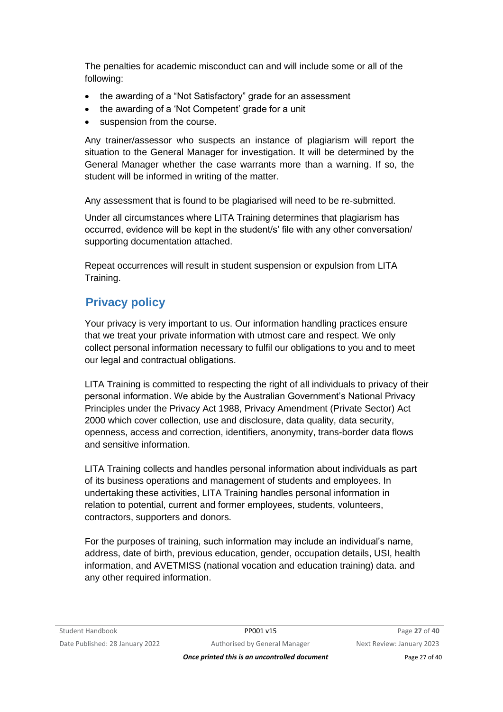The penalties for academic misconduct can and will include some or all of the following:

- the awarding of a "Not Satisfactory" grade for an assessment
- the awarding of a 'Not Competent' grade for a unit
- suspension from the course.

Any trainer/assessor who suspects an instance of plagiarism will report the situation to the General Manager for investigation. It will be determined by the General Manager whether the case warrants more than a warning. If so, the student will be informed in writing of the matter.

Any assessment that is found to be plagiarised will need to be re-submitted.

Under all circumstances where LITA Training determines that plagiarism has occurred, evidence will be kept in the student/s' file with any other conversation/ supporting documentation attached.

Repeat occurrences will result in student suspension or expulsion from LITA Training.

# **Privacy policy**

Your privacy is very important to us. Our information handling practices ensure that we treat your private information with utmost care and respect. We only collect personal information necessary to fulfil our obligations to you and to meet our legal and contractual obligations.

LITA Training is committed to respecting the right of all individuals to privacy of their personal information. We abide by the Australian Government's National Privacy Principles under the Privacy Act 1988, Privacy Amendment (Private Sector) Act 2000 which cover collection, use and disclosure, data quality, data security, openness, access and correction, identifiers, anonymity, trans-border data flows and sensitive information.

LITA Training collects and handles personal information about individuals as part of its business operations and management of students and employees. In undertaking these activities, LITA Training handles personal information in relation to potential, current and former employees, students, volunteers, contractors, supporters and donors.

For the purposes of training, such information may include an individual's name, address, date of birth, previous education, gender, occupation details, USI, health information, and AVETMISS (national vocation and education training) data. and any other required information.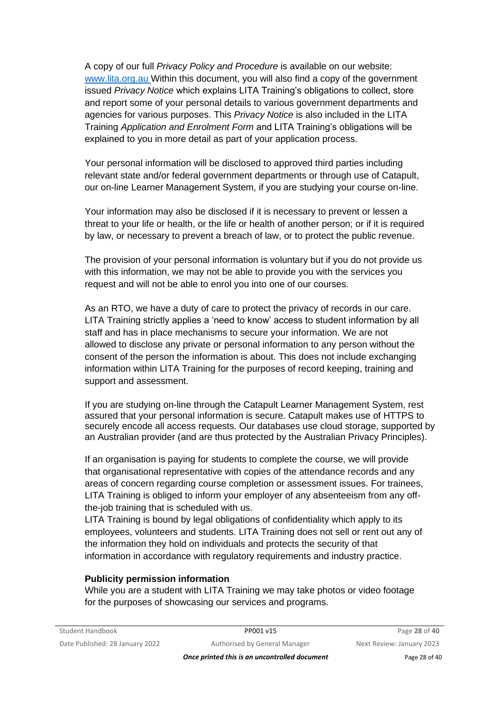A copy of our full *Privacy Policy and Procedure* is available on our website: [www.lita.org.au](http://www.lita.org.au/) Within this document, you will also find a copy of the government issued *Privacy Notice* which explains LITA Training's obligations to collect, store and report some of your personal details to various government departments and agencies for various purposes. This *Privacy Notice* is also included in the LITA Training *Application and Enrolment Form* and LITA Training's obligations will be explained to you in more detail as part of your application process.

Your personal information will be disclosed to approved third parties including relevant state and/or federal government departments or through use of Catapult, our on-line Learner Management System, if you are studying your course on-line.

Your information may also be disclosed if it is necessary to prevent or lessen a threat to your life or health, or the life or health of another person; or if it is required by law, or necessary to prevent a breach of law, or to protect the public revenue.

The provision of your personal information is voluntary but if you do not provide us with this information, we may not be able to provide you with the services you request and will not be able to enrol you into one of our courses.

As an RTO, we have a duty of care to protect the privacy of records in our care. LITA Training strictly applies a 'need to know' access to student information by all staff and has in place mechanisms to secure your information. We are not allowed to disclose any private or personal information to any person without the consent of the person the information is about. This does not include exchanging information within LITA Training for the purposes of record keeping, training and support and assessment.

If you are studying on-line through the Catapult Learner Management System, rest assured that your personal information is secure. Catapult makes use of HTTPS to securely encode all access requests. Our databases use cloud storage, supported by an Australian provider (and are thus protected by the Australian Privacy Principles).

If an organisation is paying for students to complete the course, we will provide that organisational representative with copies of the attendance records and any areas of concern regarding course completion or assessment issues. For trainees, LITA Training is obliged to inform your employer of any absenteeism from any offthe-job training that is scheduled with us.

LITA Training is bound by legal obligations of confidentiality which apply to its employees, volunteers and students. LITA Training does not sell or rent out any of the information they hold on individuals and protects the security of that information in accordance with regulatory requirements and industry practice.

#### **Publicity permission information**

While you are a student with LITA Training we may take photos or video footage for the purposes of showcasing our services and programs.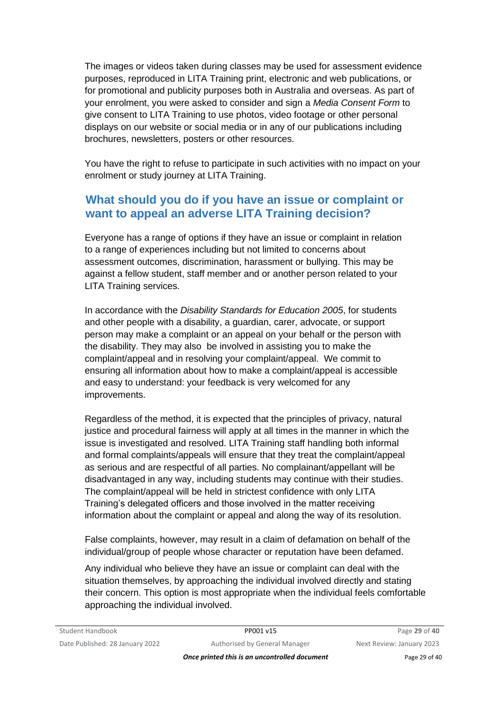The images or videos taken during classes may be used for assessment evidence purposes, reproduced in LITA Training print, electronic and web publications, or for promotional and publicity purposes both in Australia and overseas. As part of your enrolment, you were asked to consider and sign a *Media Consent Form* to give consent to LITA Training to use photos, video footage or other personal displays on our website or social media or in any of our publications including brochures, newsletters, posters or other resources.

You have the right to refuse to participate in such activities with no impact on your enrolment or study journey at LITA Training.

### **What should you do if you have an issue or complaint or want to appeal an adverse LITA Training decision?**

Everyone has a range of options if they have an issue or complaint in relation to a range of experiences including but not limited to concerns about assessment outcomes, discrimination, harassment or bullying. This may be against a fellow student, staff member and or another person related to your LITA Training services.

In accordance with the *Disability Standards for Education 2005*, for students and other people with a disability, a guardian, carer, advocate, or support person may make a complaint or an appeal on your behalf or the person with the disability. They may also be involved in assisting you to make the complaint/appeal and in resolving your complaint/appeal. We commit to ensuring all information about how to make a complaint/appeal is accessible and easy to understand: your feedback is very welcomed for any improvements.

Regardless of the method, it is expected that the principles of privacy, natural justice and procedural fairness will apply at all times in the manner in which the issue is investigated and resolved. LITA Training staff handling both informal and formal complaints/appeals will ensure that they treat the complaint/appeal as serious and are respectful of all parties. No complainant/appellant will be disadvantaged in any way, including students may continue with their studies. The complaint/appeal will be held in strictest confidence with only LITA Training's delegated officers and those involved in the matter receiving information about the complaint or appeal and along the way of its resolution.

False complaints, however, may result in a claim of defamation on behalf of the individual/group of people whose character or reputation have been defamed.

Any individual who believe they have an issue or complaint can deal with the situation themselves, by approaching the individual involved directly and stating their concern. This option is most appropriate when the individual feels comfortable approaching the individual involved.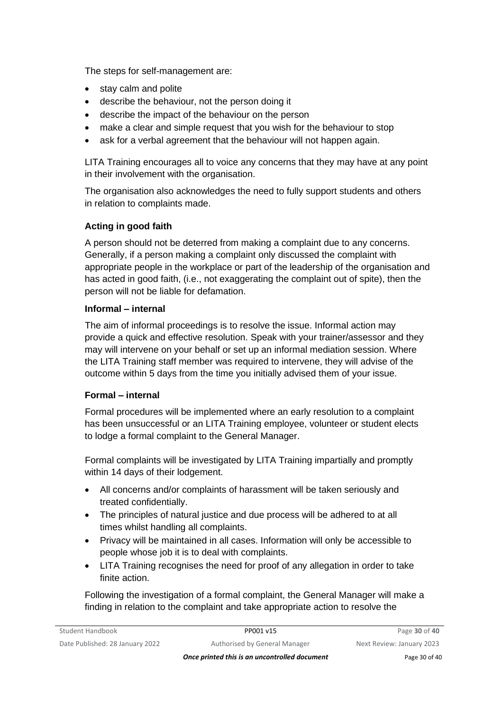The steps for self-management are:

- stay calm and polite
- describe the behaviour, not the person doing it
- describe the impact of the behaviour on the person
- make a clear and simple request that you wish for the behaviour to stop
- ask for a verbal agreement that the behaviour will not happen again.

LITA Training encourages all to voice any concerns that they may have at any point in their involvement with the organisation.

The organisation also acknowledges the need to fully support students and others in relation to complaints made.

### **Acting in good faith**

A person should not be deterred from making a complaint due to any concerns. Generally, if a person making a complaint only discussed the complaint with appropriate people in the workplace or part of the leadership of the organisation and has acted in good faith, (i.e., not exaggerating the complaint out of spite), then the person will not be liable for defamation.

#### **Informal – internal**

The aim of informal proceedings is to resolve the issue. Informal action may provide a quick and effective resolution. Speak with your trainer/assessor and they may will intervene on your behalf or set up an informal mediation session. Where the LITA Training staff member was required to intervene, they will advise of the outcome within 5 days from the time you initially advised them of your issue.

### **Formal – internal**

Formal procedures will be implemented where an early resolution to a complaint has been unsuccessful or an LITA Training employee, volunteer or student elects to lodge a formal complaint to the General Manager.

Formal complaints will be investigated by LITA Training impartially and promptly within 14 days of their lodgement.

- All concerns and/or complaints of harassment will be taken seriously and treated confidentially.
- The principles of natural justice and due process will be adhered to at all times whilst handling all complaints.
- Privacy will be maintained in all cases. Information will only be accessible to people whose job it is to deal with complaints.
- LITA Training recognises the need for proof of any allegation in order to take finite action.

Following the investigation of a formal complaint, the General Manager will make a finding in relation to the complaint and take appropriate action to resolve the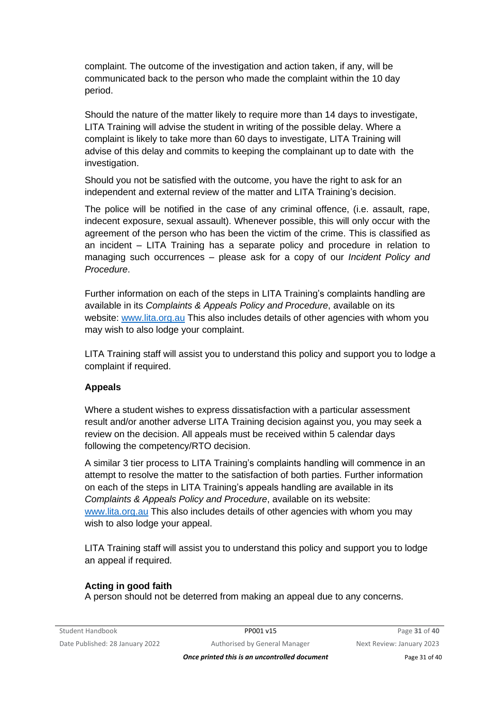complaint. The outcome of the investigation and action taken, if any, will be communicated back to the person who made the complaint within the 10 day period.

Should the nature of the matter likely to require more than 14 days to investigate, LITA Training will advise the student in writing of the possible delay. Where a complaint is likely to take more than 60 days to investigate, LITA Training will advise of this delay and commits to keeping the complainant up to date with the investigation.

Should you not be satisfied with the outcome, you have the right to ask for an independent and external review of the matter and LITA Training's decision.

The police will be notified in the case of any criminal offence, (i.e. assault, rape, indecent exposure, sexual assault). Whenever possible, this will only occur with the agreement of the person who has been the victim of the crime. This is classified as an incident – LITA Training has a separate policy and procedure in relation to managing such occurrences – please ask for a copy of our *Incident Policy and Procedure*.

Further information on each of the steps in LITA Training's complaints handling are available in its *Complaints & Appeals Policy and Procedure*, available on its website: [www.lita.org.au](http://www.lita.org.au/) This also includes details of other agencies with whom you may wish to also lodge your complaint.

LITA Training staff will assist you to understand this policy and support you to lodge a complaint if required.

#### **Appeals**

Where a student wishes to express dissatisfaction with a particular assessment result and/or another adverse LITA Training decision against you, you may seek a review on the decision. All appeals must be received within 5 calendar days following the competency/RTO decision.

A similar 3 tier process to LITA Training's complaints handling will commence in an attempt to resolve the matter to the satisfaction of both parties. Further information on each of the steps in LITA Training's appeals handling are available in its *Complaints & Appeals Policy and Procedure*, available on its website: www.lita.org.au This also includes details of other agencies with whom you may wish to also lodge your appeal.

LITA Training staff will assist you to understand this policy and support you to lodge an appeal if required.

#### **Acting in good faith**

A person should not be deterred from making an appeal due to any concerns.

**Once printed this is an uncontrolled document** Page 31 of 40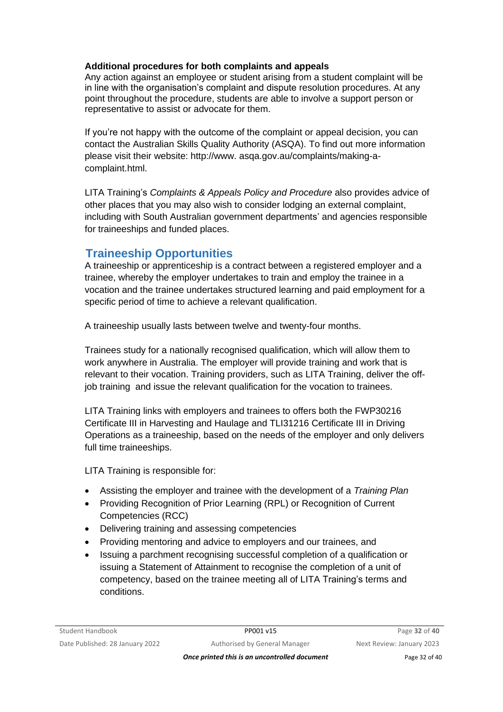#### **Additional procedures for both complaints and appeals**

Any action against an employee or student arising from a student complaint will be in line with the organisation's complaint and dispute resolution procedures. At any point throughout the procedure, students are able to involve a support person or representative to assist or advocate for them.

If you're not happy with the outcome of the complaint or appeal decision, you can contact the Australian Skills Quality Authority (ASQA). To find out more information please visit their website: http://www. asqa.gov.au/complaints/making-acomplaint.html.

LITA Training's *Complaints & Appeals Policy and Procedure* also provides advice of other places that you may also wish to consider lodging an external complaint, including with South Australian government departments' and agencies responsible for traineeships and funded places.

### **Traineeship Opportunities**

A traineeship or apprenticeship is a contract between a registered employer and a trainee, whereby the employer undertakes to train and employ the trainee in a vocation and the trainee undertakes structured learning and paid employment for a specific period of time to achieve a relevant qualification.

A traineeship usually lasts between twelve and twenty-four months.

Trainees study for a nationally recognised qualification, which will allow them to work anywhere in Australia. The employer will provide training and work that is relevant to their vocation. Training providers, such as LITA Training, deliver the offjob training and issue the relevant qualification for the vocation to trainees.

LITA Training links with employers and trainees to offers both the FWP30216 Certificate III in Harvesting and Haulage and TLI31216 Certificate III in Driving Operations as a traineeship, based on the needs of the employer and only delivers full time traineeships.

LITA Training is responsible for:

- Assisting the employer and trainee with the development of a *Training Plan*
- Providing Recognition of Prior Learning (RPL) or Recognition of Current Competencies (RCC)
- Delivering training and assessing competencies
- Providing mentoring and advice to employers and our trainees, and
- Issuing a parchment recognising successful completion of a qualification or issuing a Statement of Attainment to recognise the completion of a unit of competency, based on the trainee meeting all of LITA Training's terms and conditions.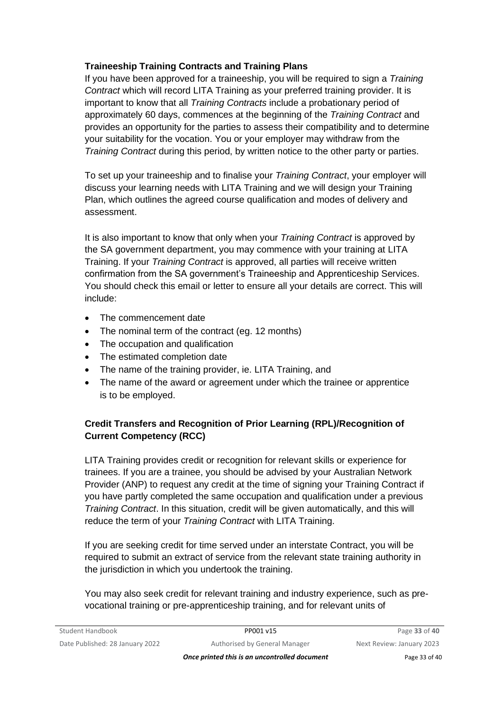### **Traineeship Training Contracts and Training Plans**

If you have been approved for a traineeship, you will be required to sign a *Training Contract* which will record LITA Training as your preferred training provider. It is important to know that all *Training Contracts* include a probationary period of approximately 60 days, commences at the beginning of the *Training Contract* and provides an opportunity for the parties to assess their compatibility and to determine your suitability for the vocation. You or your employer may withdraw from the *Training Contract* during this period, by written notice to the other party or parties.

To set up your traineeship and to finalise your *Training Contract*, your employer will discuss your learning needs with LITA Training and we will design your Training Plan, which outlines the agreed course qualification and modes of delivery and assessment.

It is also important to know that only when your *Training Contract* is approved by the SA government department, you may commence with your training at LITA Training. If your *Training Contract* is approved, all parties will receive written confirmation from the SA government's Traineeship and Apprenticeship Services. You should check this email or letter to ensure all your details are correct. This will include:

- The commencement date
- The nominal term of the contract (eg. 12 months)
- The occupation and qualification
- The estimated completion date
- The name of the training provider, ie, LITA Training, and
- The name of the award or agreement under which the trainee or apprentice is to be employed.

### **Credit Transfers and Recognition of Prior Learning (RPL)/Recognition of Current Competency (RCC)**

LITA Training provides credit or recognition for relevant skills or experience for trainees. If you are a trainee, you should be advised by your Australian Network Provider (ANP) to request any credit at the time of signing your Training Contract if you have partly completed the same occupation and qualification under a previous *Training Contract*. In this situation, credit will be given automatically, and this will reduce the term of your *Training Contract* with LITA Training.

If you are seeking credit for time served under an interstate Contract, you will be required to submit an extract of service from the relevant state training authority in the jurisdiction in which you undertook the training.

You may also seek credit for relevant training and industry experience, such as prevocational training or pre-apprenticeship training, and for relevant units of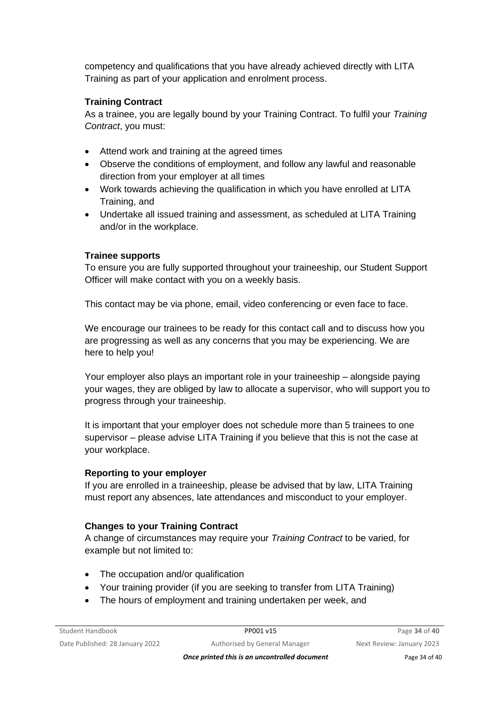competency and qualifications that you have already achieved directly with LITA Training as part of your application and enrolment process.

### **Training Contract**

As a trainee, you are legally bound by your Training Contract. To fulfil your *Training Contract*, you must:

- Attend work and training at the agreed times
- Observe the conditions of employment, and follow any lawful and reasonable direction from your employer at all times
- Work towards achieving the qualification in which you have enrolled at LITA Training, and
- Undertake all issued training and assessment, as scheduled at LITA Training and/or in the workplace.

### **Trainee supports**

To ensure you are fully supported throughout your traineeship, our Student Support Officer will make contact with you on a weekly basis.

This contact may be via phone, email, video conferencing or even face to face.

We encourage our trainees to be ready for this contact call and to discuss how you are progressing as well as any concerns that you may be experiencing. We are here to help you!

Your employer also plays an important role in your traineeship – alongside paying your wages, they are obliged by law to allocate a supervisor, who will support you to progress through your traineeship.

It is important that your employer does not schedule more than 5 trainees to one supervisor – please advise LITA Training if you believe that this is not the case at your workplace.

### **Reporting to your employer**

If you are enrolled in a traineeship, please be advised that by law, LITA Training must report any absences, late attendances and misconduct to your employer.

### **Changes to your Training Contract**

A change of circumstances may require your *Training Contract* to be varied, for example but not limited to:

- The occupation and/or qualification
- Your training provider (if you are seeking to transfer from LITA Training)
- The hours of employment and training undertaken per week, and

*Once printed this is an uncontrolled document* Page 34 of 40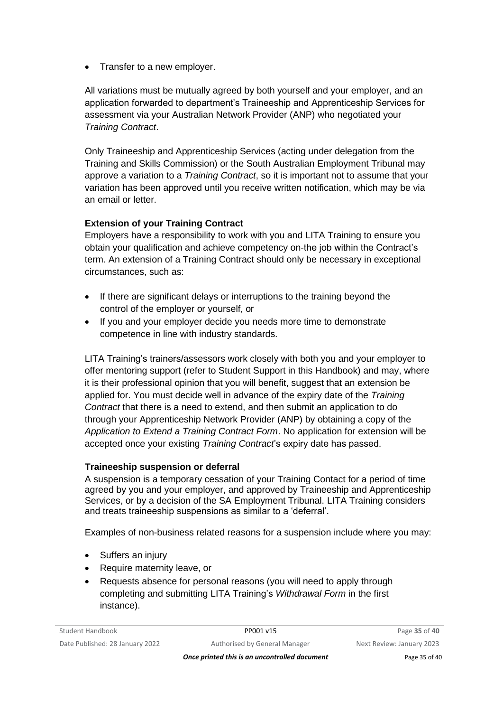• Transfer to a new employer.

All variations must be mutually agreed by both yourself and your employer, and an application forwarded to department's Traineeship and Apprenticeship Services for assessment via your Australian Network Provider (ANP) who negotiated your *Training Contract*.

Only Traineeship and Apprenticeship Services (acting under delegation from the Training and Skills Commission) or the South Australian Employment Tribunal may approve a variation to a *Training Contract*, so it is important not to assume that your variation has been approved until you receive written notification, which may be via an email or letter.

### **Extension of your Training Contract**

Employers have a responsibility to work with you and LITA Training to ensure you obtain your qualification and achieve competency on-the job within the Contract's term. An extension of a Training Contract should only be necessary in exceptional circumstances, such as:

- If there are significant delays or interruptions to the training beyond the control of the employer or yourself, or
- If you and your employer decide you needs more time to demonstrate competence in line with industry standards.

LITA Training's trainers/assessors work closely with both you and your employer to offer mentoring support (refer to Student Support in this Handbook) and may, where it is their professional opinion that you will benefit, suggest that an extension be applied for. You must decide well in advance of the expiry date of the *Training Contract* that there is a need to extend, and then submit an application to do through your Apprenticeship Network Provider (ANP) by obtaining a copy of the *Application to Extend a Training Contract Form*. No application for extension will be accepted once your existing *Training Contract*'s expiry date has passed.

### **Traineeship suspension or deferral**

A suspension is a temporary cessation of your Training Contact for a period of time agreed by you and your employer, and approved by Traineeship and Apprenticeship Services, or by a decision of the SA Employment Tribunal. LITA Training considers and treats traineeship suspensions as similar to a 'deferral'.

Examples of non-business related reasons for a suspension include where you may:

- Suffers an injury
- Require maternity leave, or
- Requests absence for personal reasons (you will need to apply through completing and submitting LITA Training's *Withdrawal Form* in the first instance).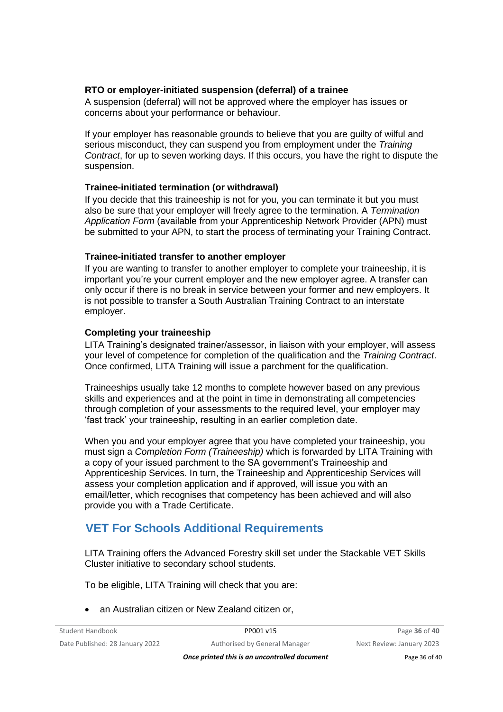#### **RTO or employer-initiated suspension (deferral) of a trainee**

A suspension (deferral) will not be approved where the employer has issues or concerns about your performance or behaviour.

If your employer has reasonable grounds to believe that you are guilty of wilful and serious misconduct, they can suspend you from employment under the *Training Contract*, for up to seven working days. If this occurs, you have the right to dispute the suspension.

#### **Trainee-initiated termination (or withdrawal)**

If you decide that this traineeship is not for you, you can terminate it but you must also be sure that your employer will freely agree to the termination. A *Termination Application Form* (available from your Apprenticeship Network Provider (APN) must be submitted to your APN, to start the process of terminating your Training Contract.

#### **Trainee-initiated transfer to another employer**

If you are wanting to transfer to another employer to complete your traineeship, it is important you're your current employer and the new employer agree. A transfer can only occur if there is no break in service between your former and new employers. It is not possible to transfer a South Australian Training Contract to an interstate employer.

#### **Completing your traineeship**

LITA Training's designated trainer/assessor, in liaison with your employer, will assess your level of competence for completion of the qualification and the *Training Contract*. Once confirmed, LITA Training will issue a parchment for the qualification.

Traineeships usually take 12 months to complete however based on any previous skills and experiences and at the point in time in demonstrating all competencies through completion of your assessments to the required level, your employer may 'fast track' your traineeship, resulting in an earlier completion date.

When you and your employer agree that you have completed your traineeship, you must sign a *Completion Form (Traineeship)* which is forwarded by LITA Training with a copy of your issued parchment to the SA government's Traineeship and Apprenticeship Services. In turn, the Traineeship and Apprenticeship Services will assess your completion application and if approved, will issue you with an email/letter, which recognises that competency has been achieved and will also provide you with a Trade Certificate.

# **VET For Schools Additional Requirements**

LITA Training offers the Advanced Forestry skill set under the Stackable VET Skills Cluster initiative to secondary school students.

To be eligible, LITA Training will check that you are:

• an Australian citizen or New Zealand citizen or,

*Once printed this is an uncontrolled document* Page 36 of 40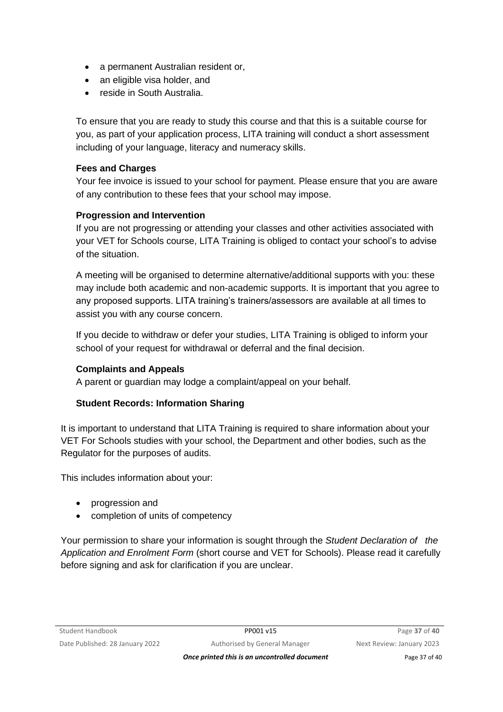- a permanent Australian resident or,
- an eligible visa holder, and
- reside in South Australia.

To ensure that you are ready to study this course and that this is a suitable course for you, as part of your application process, LITA training will conduct a short assessment including of your language, literacy and numeracy skills.

#### **Fees and Charges**

Your fee invoice is issued to your school for payment. Please ensure that you are aware of any contribution to these fees that your school may impose.

### **Progression and Intervention**

If you are not progressing or attending your classes and other activities associated with your VET for Schools course, LITA Training is obliged to contact your school's to advise of the situation.

A meeting will be organised to determine alternative/additional supports with you: these may include both academic and non-academic supports. It is important that you agree to any proposed supports. LITA training's trainers/assessors are available at all times to assist you with any course concern.

If you decide to withdraw or defer your studies, LITA Training is obliged to inform your school of your request for withdrawal or deferral and the final decision.

### **Complaints and Appeals**

A parent or guardian may lodge a complaint/appeal on your behalf.

### **Student Records: Information Sharing**

It is important to understand that LITA Training is required to share information about your VET For Schools studies with your school, the Department and other bodies, such as the Regulator for the purposes of audits.

This includes information about your:

- progression and
- completion of units of competency

Your permission to share your information is sought through the *Student Declaration of the Application and Enrolment Form* (short course and VET for Schools). Please read it carefully before signing and ask for clarification if you are unclear.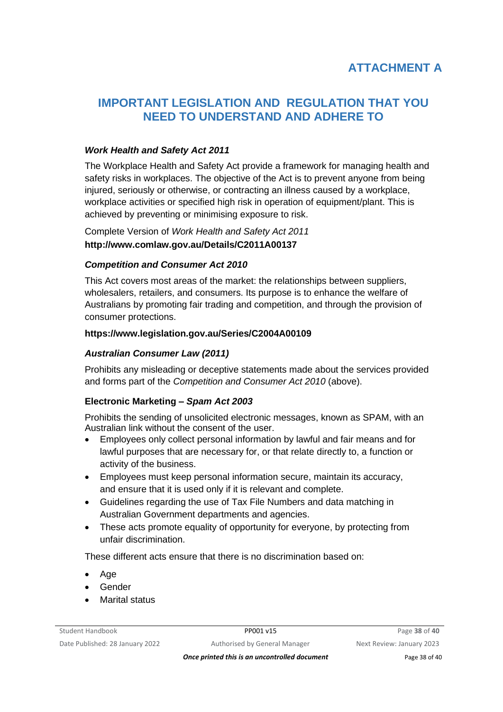# **IMPORTANT LEGISLATION AND REGULATION THAT YOU NEED TO UNDERSTAND AND ADHERE TO**

#### *Work Health and Safety Act 2011*

The Workplace Health and Safety Act provide a framework for managing health and safety risks in workplaces. The objective of the Act is to prevent anyone from being injured, seriously or otherwise, or contracting an illness caused by a workplace, workplace activities or specified high risk in operation of equipment/plant. This is achieved by preventing or minimising exposure to risk.

Complete Version of *Work Health and Safety Act 2011* **http://www.comlaw.gov.au/Details/C2011A00137**

#### *Competition and Consumer Act 2010*

This Act covers most areas of the market: the relationships between suppliers, wholesalers, retailers, and consumers. Its purpose is to enhance the welfare of Australians by promoting fair trading and competition, and through the provision of consumer protections.

#### **https://www.legislation.gov.au/Series/C2004A00109**

#### *Australian Consumer Law (2011)*

Prohibits any misleading or deceptive statements made about the services provided and forms part of the *Competition and Consumer Act 2010* (above).

### **Electronic Marketing –** *Spam Act 2003*

Prohibits the sending of unsolicited electronic messages, known as SPAM, with an Australian link without the consent of the user.

- Employees only collect personal information by lawful and fair means and for lawful purposes that are necessary for, or that relate directly to, a function or activity of the business.
- Employees must keep personal information secure, maintain its accuracy, and ensure that it is used only if it is relevant and complete.
- Guidelines regarding the use of Tax File Numbers and data matching in Australian Government departments and agencies.
- These acts promote equality of opportunity for everyone, by protecting from unfair discrimination.

These different acts ensure that there is no discrimination based on:

- Age
- Gender
- **Marital status**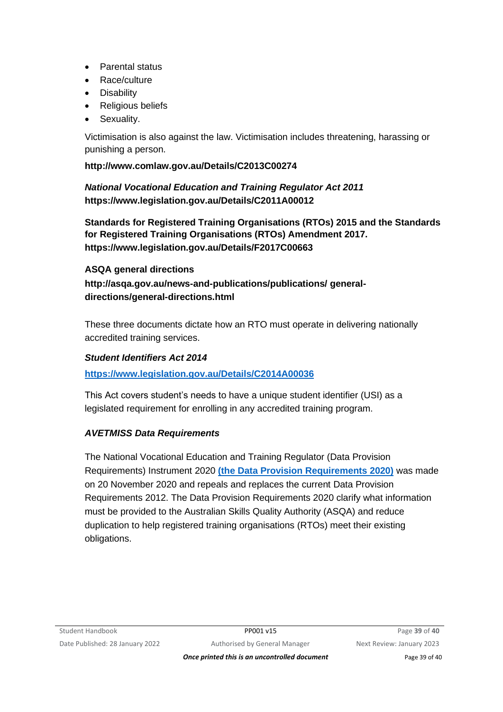- Parental status
- Race/culture
- Disability
- Religious beliefs
- Sexuality.

Victimisation is also against the law. Victimisation includes threatening, harassing or punishing a person.

### **http://www.comlaw.gov.au/Details/C2013C00274**

*National Vocational Education and Training Regulator Act 2011* **https://www.legislation.gov.au/Details/C2011A00012**

**Standards for Registered Training Organisations (RTOs) 2015 and the Standards for Registered Training Organisations (RTOs) Amendment 2017. https://www.legislation.gov.au/Details/F2017C00663**

**ASQA general directions http://asqa.gov.au/news-and-publications/publications/ generaldirections/general-directions.html**

These three documents dictate how an RTO must operate in delivering nationally accredited training services.

### *Student Identifiers Act 2014*

**<https://www.legislation.gov.au/Details/C2014A00036>**

This Act covers student's needs to have a unique student identifier (USI) as a legislated requirement for enrolling in any accredited training program.

### *AVETMISS Data Requirements*

The National Vocational Education and Training Regulator (Data Provision Requirements) Instrument 2020 **[\(the Data Provision Requirements 2020\)](https://www.legislation.gov.au/Details/F2020L01517)** was made on 20 November 2020 and repeals and replaces the current Data Provision Requirements 2012. The Data Provision Requirements 2020 clarify what information must be provided to the Australian Skills Quality Authority (ASQA) and reduce duplication to help registered training organisations (RTOs) meet their existing obligations.

**Once printed this is an uncontrolled document** Page 39 of 40